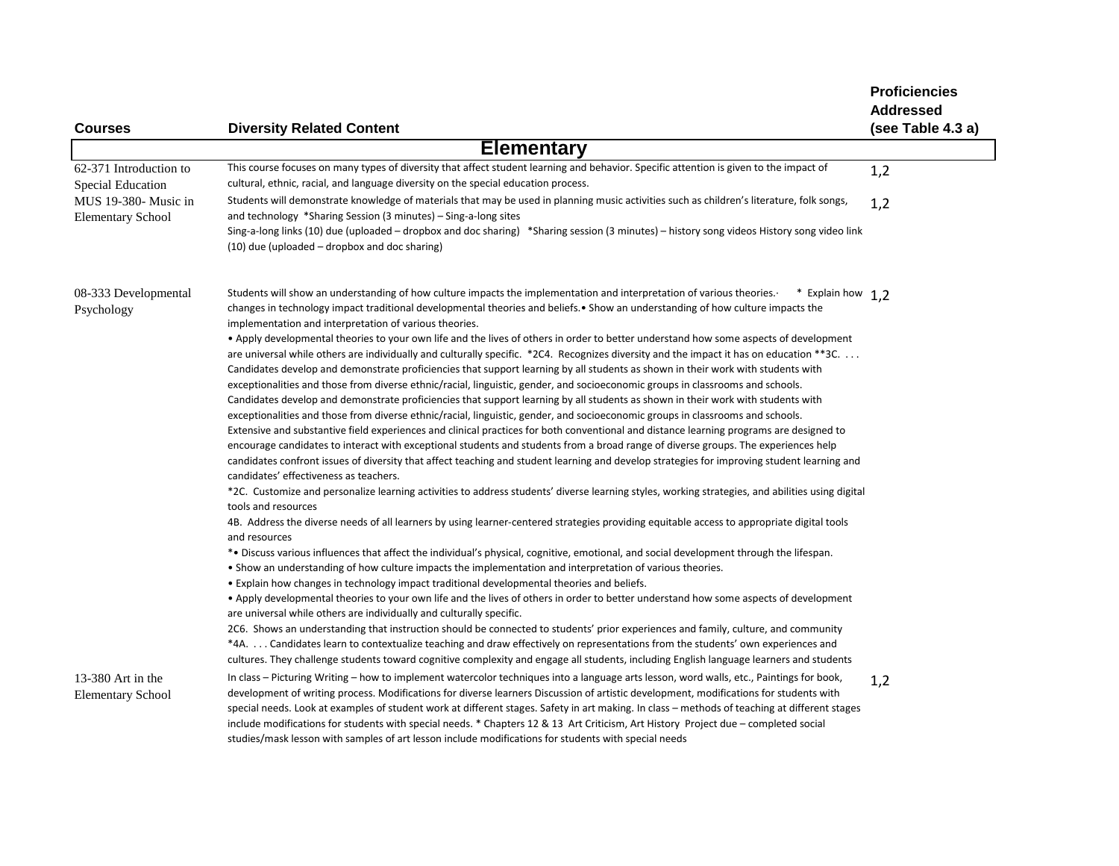|                                                  |                                                                                                                                                                                                                                                                                                                                                                                                                                                                                                                                                                                                                                                                                    | <b>Proficiencies</b>                  |
|--------------------------------------------------|------------------------------------------------------------------------------------------------------------------------------------------------------------------------------------------------------------------------------------------------------------------------------------------------------------------------------------------------------------------------------------------------------------------------------------------------------------------------------------------------------------------------------------------------------------------------------------------------------------------------------------------------------------------------------------|---------------------------------------|
| <b>Courses</b>                                   | <b>Diversity Related Content</b>                                                                                                                                                                                                                                                                                                                                                                                                                                                                                                                                                                                                                                                   | <b>Addressed</b><br>(see Table 4.3 a) |
|                                                  | <b>Elementary</b>                                                                                                                                                                                                                                                                                                                                                                                                                                                                                                                                                                                                                                                                  |                                       |
| 62-371 Introduction to<br>Special Education      | This course focuses on many types of diversity that affect student learning and behavior. Specific attention is given to the impact of<br>cultural, ethnic, racial, and language diversity on the special education process.                                                                                                                                                                                                                                                                                                                                                                                                                                                       | 1,2                                   |
| MUS 19-380- Music in<br><b>Elementary School</b> | Students will demonstrate knowledge of materials that may be used in planning music activities such as children's literature, folk songs,<br>and technology *Sharing Session (3 minutes) – Sing-a-long sites                                                                                                                                                                                                                                                                                                                                                                                                                                                                       | 1,2                                   |
|                                                  | Sing-a-long links (10) due (uploaded – dropbox and doc sharing) *Sharing session (3 minutes) – history song videos History song video link<br>(10) due (uploaded - dropbox and doc sharing)                                                                                                                                                                                                                                                                                                                                                                                                                                                                                        |                                       |
| 08-333 Developmental<br>Psychology               | Students will show an understanding of how culture impacts the implementation and interpretation of various theories.<br>* Explain how 1,2<br>changes in technology impact traditional developmental theories and beliefs. • Show an understanding of how culture impacts the<br>implementation and interpretation of various theories.                                                                                                                                                                                                                                                                                                                                            |                                       |
|                                                  | • Apply developmental theories to your own life and the lives of others in order to better understand how some aspects of development<br>are universal while others are individually and culturally specific. *2C4. Recognizes diversity and the impact it has on education **3C.<br>Candidates develop and demonstrate proficiencies that support learning by all students as shown in their work with students with<br>exceptionalities and those from diverse ethnic/racial, linguistic, gender, and socioeconomic groups in classrooms and schools.                                                                                                                            |                                       |
|                                                  | Candidates develop and demonstrate proficiencies that support learning by all students as shown in their work with students with<br>exceptionalities and those from diverse ethnic/racial, linguistic, gender, and socioeconomic groups in classrooms and schools.<br>Extensive and substantive field experiences and clinical practices for both conventional and distance learning programs are designed to                                                                                                                                                                                                                                                                      |                                       |
|                                                  | encourage candidates to interact with exceptional students and students from a broad range of diverse groups. The experiences help<br>candidates confront issues of diversity that affect teaching and student learning and develop strategies for improving student learning and<br>candidates' effectiveness as teachers.                                                                                                                                                                                                                                                                                                                                                        |                                       |
|                                                  | *2C. Customize and personalize learning activities to address students' diverse learning styles, working strategies, and abilities using digital<br>tools and resources                                                                                                                                                                                                                                                                                                                                                                                                                                                                                                            |                                       |
|                                                  | 4B. Address the diverse needs of all learners by using learner-centered strategies providing equitable access to appropriate digital tools<br>and resources                                                                                                                                                                                                                                                                                                                                                                                                                                                                                                                        |                                       |
|                                                  | *• Discuss various influences that affect the individual's physical, cognitive, emotional, and social development through the lifespan.<br>• Show an understanding of how culture impacts the implementation and interpretation of various theories.<br>• Explain how changes in technology impact traditional developmental theories and beliefs.                                                                                                                                                                                                                                                                                                                                 |                                       |
|                                                  | • Apply developmental theories to your own life and the lives of others in order to better understand how some aspects of development<br>are universal while others are individually and culturally specific.                                                                                                                                                                                                                                                                                                                                                                                                                                                                      |                                       |
|                                                  | 2C6. Shows an understanding that instruction should be connected to students' prior experiences and family, culture, and community<br>*4A.  Candidates learn to contextualize teaching and draw effectively on representations from the students' own experiences and<br>cultures. They challenge students toward cognitive complexity and engage all students, including English language learners and students                                                                                                                                                                                                                                                                   |                                       |
| 13-380 Art in the<br><b>Elementary School</b>    | In class – Picturing Writing – how to implement watercolor techniques into a language arts lesson, word walls, etc., Paintings for book,<br>development of writing process. Modifications for diverse learners Discussion of artistic development, modifications for students with<br>special needs. Look at examples of student work at different stages. Safety in art making. In class - methods of teaching at different stages<br>include modifications for students with special needs. * Chapters 12 & 13 Art Criticism, Art History Project due – completed social<br>studies/mask lesson with samples of art lesson include modifications for students with special needs | 1,2                                   |
|                                                  |                                                                                                                                                                                                                                                                                                                                                                                                                                                                                                                                                                                                                                                                                    |                                       |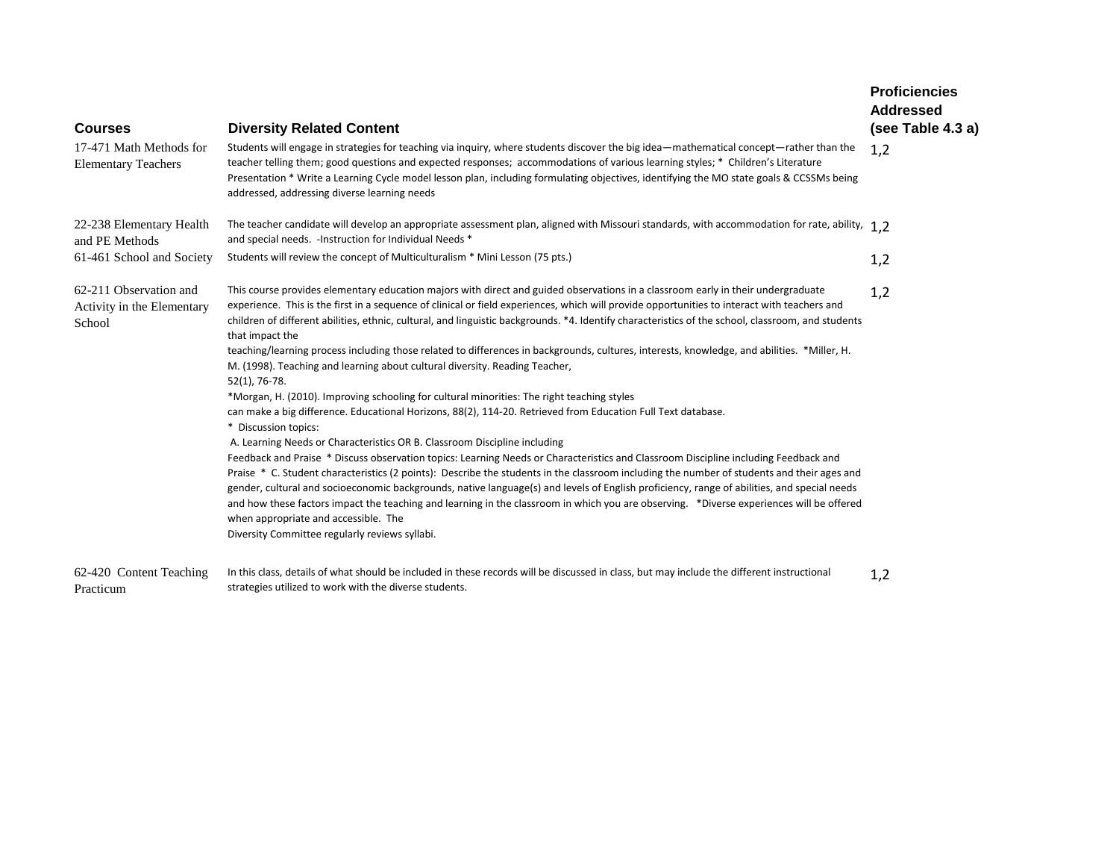| <b>Courses</b>                                                 | <b>Diversity Related Content</b>                                                                                                                                                                                                                                                                                                                                                                                                                                                                                                                                                                                                                                                                                                                                                                                                                                                                                                                                                                                                                                                                                                                                                                                                                                                                                                                                                                                                                                                                                                                                                                                                                                                                      | <b>Proficiencies</b><br><b>Addressed</b><br>(see Table 4.3 a) |
|----------------------------------------------------------------|-------------------------------------------------------------------------------------------------------------------------------------------------------------------------------------------------------------------------------------------------------------------------------------------------------------------------------------------------------------------------------------------------------------------------------------------------------------------------------------------------------------------------------------------------------------------------------------------------------------------------------------------------------------------------------------------------------------------------------------------------------------------------------------------------------------------------------------------------------------------------------------------------------------------------------------------------------------------------------------------------------------------------------------------------------------------------------------------------------------------------------------------------------------------------------------------------------------------------------------------------------------------------------------------------------------------------------------------------------------------------------------------------------------------------------------------------------------------------------------------------------------------------------------------------------------------------------------------------------------------------------------------------------------------------------------------------------|---------------------------------------------------------------|
| 17-471 Math Methods for<br><b>Elementary Teachers</b>          | Students will engage in strategies for teaching via inquiry, where students discover the big idea—mathematical concept—rather than the<br>teacher telling them; good questions and expected responses; accommodations of various learning styles; * Children's Literature<br>Presentation * Write a Learning Cycle model lesson plan, including formulating objectives, identifying the MO state goals & CCSSMs being<br>addressed, addressing diverse learning needs                                                                                                                                                                                                                                                                                                                                                                                                                                                                                                                                                                                                                                                                                                                                                                                                                                                                                                                                                                                                                                                                                                                                                                                                                                 | 1,2                                                           |
| 22-238 Elementary Health<br>and PE Methods                     | The teacher candidate will develop an appropriate assessment plan, aligned with Missouri standards, with accommodation for rate, ability, $1,2$<br>and special needs. - Instruction for Individual Needs *                                                                                                                                                                                                                                                                                                                                                                                                                                                                                                                                                                                                                                                                                                                                                                                                                                                                                                                                                                                                                                                                                                                                                                                                                                                                                                                                                                                                                                                                                            |                                                               |
| 61-461 School and Society                                      | Students will review the concept of Multiculturalism * Mini Lesson (75 pts.)                                                                                                                                                                                                                                                                                                                                                                                                                                                                                                                                                                                                                                                                                                                                                                                                                                                                                                                                                                                                                                                                                                                                                                                                                                                                                                                                                                                                                                                                                                                                                                                                                          | 1,2                                                           |
| 62-211 Observation and<br>Activity in the Elementary<br>School | This course provides elementary education majors with direct and guided observations in a classroom early in their undergraduate<br>experience. This is the first in a sequence of clinical or field experiences, which will provide opportunities to interact with teachers and<br>children of different abilities, ethnic, cultural, and linguistic backgrounds. *4. Identify characteristics of the school, classroom, and students<br>that impact the<br>teaching/learning process including those related to differences in backgrounds, cultures, interests, knowledge, and abilities. *Miller, H.<br>M. (1998). Teaching and learning about cultural diversity. Reading Teacher,<br>52(1), 76-78.<br>*Morgan, H. (2010). Improving schooling for cultural minorities: The right teaching styles<br>can make a big difference. Educational Horizons, 88(2), 114-20. Retrieved from Education Full Text database.<br>* Discussion topics:<br>A. Learning Needs or Characteristics OR B. Classroom Discipline including<br>Feedback and Praise * Discuss observation topics: Learning Needs or Characteristics and Classroom Discipline including Feedback and<br>Praise * C. Student characteristics (2 points): Describe the students in the classroom including the number of students and their ages and<br>gender, cultural and socioeconomic backgrounds, native language(s) and levels of English proficiency, range of abilities, and special needs<br>and how these factors impact the teaching and learning in the classroom in which you are observing. *Diverse experiences will be offered<br>when appropriate and accessible. The<br>Diversity Committee regularly reviews syllabi. | 1,2                                                           |
| 62-420 Content Teaching<br>Practicum                           | In this class, details of what should be included in these records will be discussed in class, but may include the different instructional<br>strategies utilized to work with the diverse students.                                                                                                                                                                                                                                                                                                                                                                                                                                                                                                                                                                                                                                                                                                                                                                                                                                                                                                                                                                                                                                                                                                                                                                                                                                                                                                                                                                                                                                                                                                  | 1,2                                                           |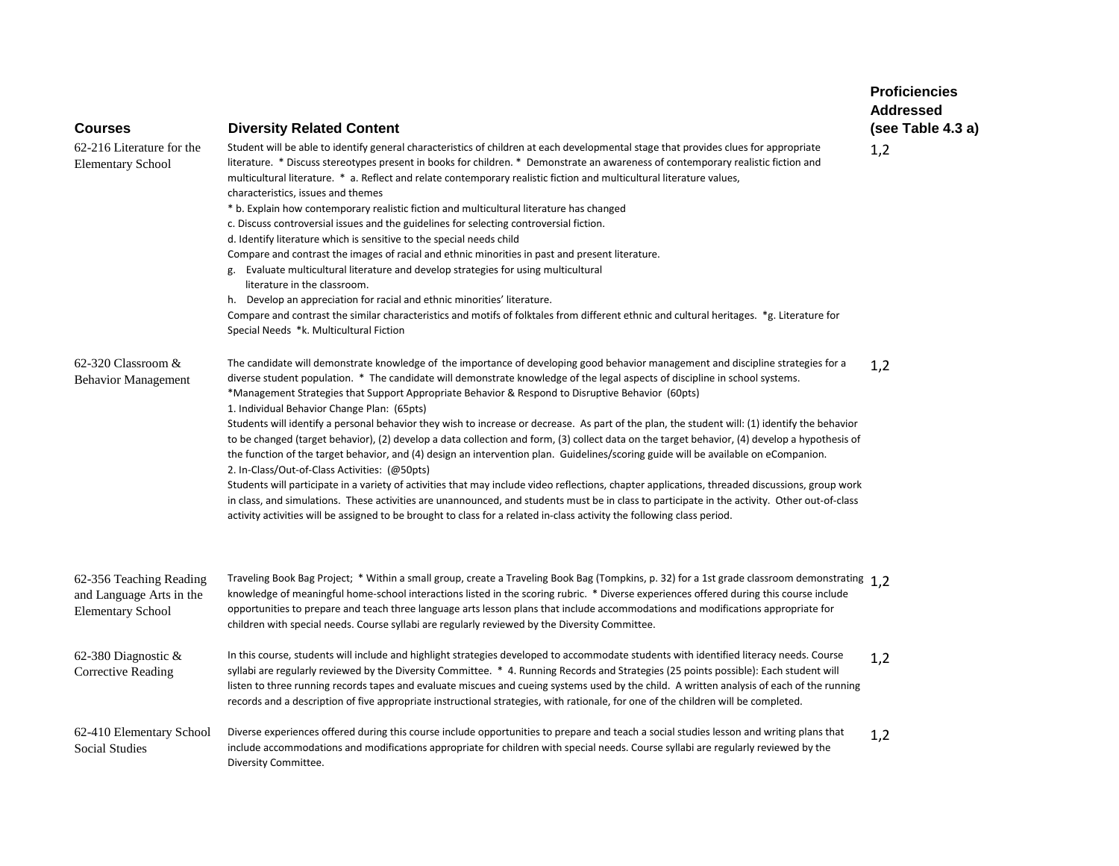| <b>Courses</b>                                                                  | <b>Diversity Related Content</b>                                                                                                                                                                                                                                                                                                                                                                                                                                                                                                                                                                                                                                                                                                                                                                                                                                                                                                                                                                                                                                                                                                                                                                                                                                                                                                                | <b>Proficiencies</b><br><b>Addressed</b><br>(see Table 4.3 a) |
|---------------------------------------------------------------------------------|-------------------------------------------------------------------------------------------------------------------------------------------------------------------------------------------------------------------------------------------------------------------------------------------------------------------------------------------------------------------------------------------------------------------------------------------------------------------------------------------------------------------------------------------------------------------------------------------------------------------------------------------------------------------------------------------------------------------------------------------------------------------------------------------------------------------------------------------------------------------------------------------------------------------------------------------------------------------------------------------------------------------------------------------------------------------------------------------------------------------------------------------------------------------------------------------------------------------------------------------------------------------------------------------------------------------------------------------------|---------------------------------------------------------------|
| 62-216 Literature for the<br><b>Elementary School</b>                           | Student will be able to identify general characteristics of children at each developmental stage that provides clues for appropriate<br>literature. * Discuss stereotypes present in books for children. * Demonstrate an awareness of contemporary realistic fiction and<br>multicultural literature. * a. Reflect and relate contemporary realistic fiction and multicultural literature values,<br>characteristics, issues and themes<br>* b. Explain how contemporary realistic fiction and multicultural literature has changed<br>c. Discuss controversial issues and the guidelines for selecting controversial fiction.<br>d. Identify literature which is sensitive to the special needs child<br>Compare and contrast the images of racial and ethnic minorities in past and present literature.<br>g. Evaluate multicultural literature and develop strategies for using multicultural<br>literature in the classroom.<br>h. Develop an appreciation for racial and ethnic minorities' literature.<br>Compare and contrast the similar characteristics and motifs of folktales from different ethnic and cultural heritages. *g. Literature for<br>Special Needs *k. Multicultural Fiction                                                                                                                                           | 1,2                                                           |
| 62-320 Classroom &<br><b>Behavior Management</b>                                | The candidate will demonstrate knowledge of the importance of developing good behavior management and discipline strategies for a<br>diverse student population. * The candidate will demonstrate knowledge of the legal aspects of discipline in school systems.<br>*Management Strategies that Support Appropriate Behavior & Respond to Disruptive Behavior (60pts)<br>1. Individual Behavior Change Plan: (65pts)<br>Students will identify a personal behavior they wish to increase or decrease. As part of the plan, the student will: (1) identify the behavior<br>to be changed (target behavior), (2) develop a data collection and form, (3) collect data on the target behavior, (4) develop a hypothesis of<br>the function of the target behavior, and (4) design an intervention plan. Guidelines/scoring guide will be available on eCompanion.<br>2. In-Class/Out-of-Class Activities: (@50pts)<br>Students will participate in a variety of activities that may include video reflections, chapter applications, threaded discussions, group work<br>in class, and simulations. These activities are unannounced, and students must be in class to participate in the activity. Other out-of-class<br>activity activities will be assigned to be brought to class for a related in-class activity the following class period. | 1,2                                                           |
| 62-356 Teaching Reading<br>and Language Arts in the<br><b>Elementary School</b> | Traveling Book Bag Project; * Within a small group, create a Traveling Book Bag (Tompkins, p. 32) for a 1st grade classroom demonstrating 1.2<br>knowledge of meaningful home-school interactions listed in the scoring rubric. * Diverse experiences offered during this course include<br>opportunities to prepare and teach three language arts lesson plans that include accommodations and modifications appropriate for<br>children with special needs. Course syllabi are regularly reviewed by the Diversity Committee.                                                                                                                                                                                                                                                                                                                                                                                                                                                                                                                                                                                                                                                                                                                                                                                                                 |                                                               |
| 62-380 Diagnostic &<br><b>Corrective Reading</b>                                | In this course, students will include and highlight strategies developed to accommodate students with identified literacy needs. Course<br>syllabi are regularly reviewed by the Diversity Committee. * 4. Running Records and Strategies (25 points possible): Each student will<br>listen to three running records tapes and evaluate miscues and cueing systems used by the child. A written analysis of each of the running<br>records and a description of five appropriate instructional strategies, with rationale, for one of the children will be completed.                                                                                                                                                                                                                                                                                                                                                                                                                                                                                                                                                                                                                                                                                                                                                                           | 1,2                                                           |
| 62-410 Elementary School<br><b>Social Studies</b>                               | Diverse experiences offered during this course include opportunities to prepare and teach a social studies lesson and writing plans that<br>include accommodations and modifications appropriate for children with special needs. Course syllabi are regularly reviewed by the<br>Diversity Committee.                                                                                                                                                                                                                                                                                                                                                                                                                                                                                                                                                                                                                                                                                                                                                                                                                                                                                                                                                                                                                                          | 1,2                                                           |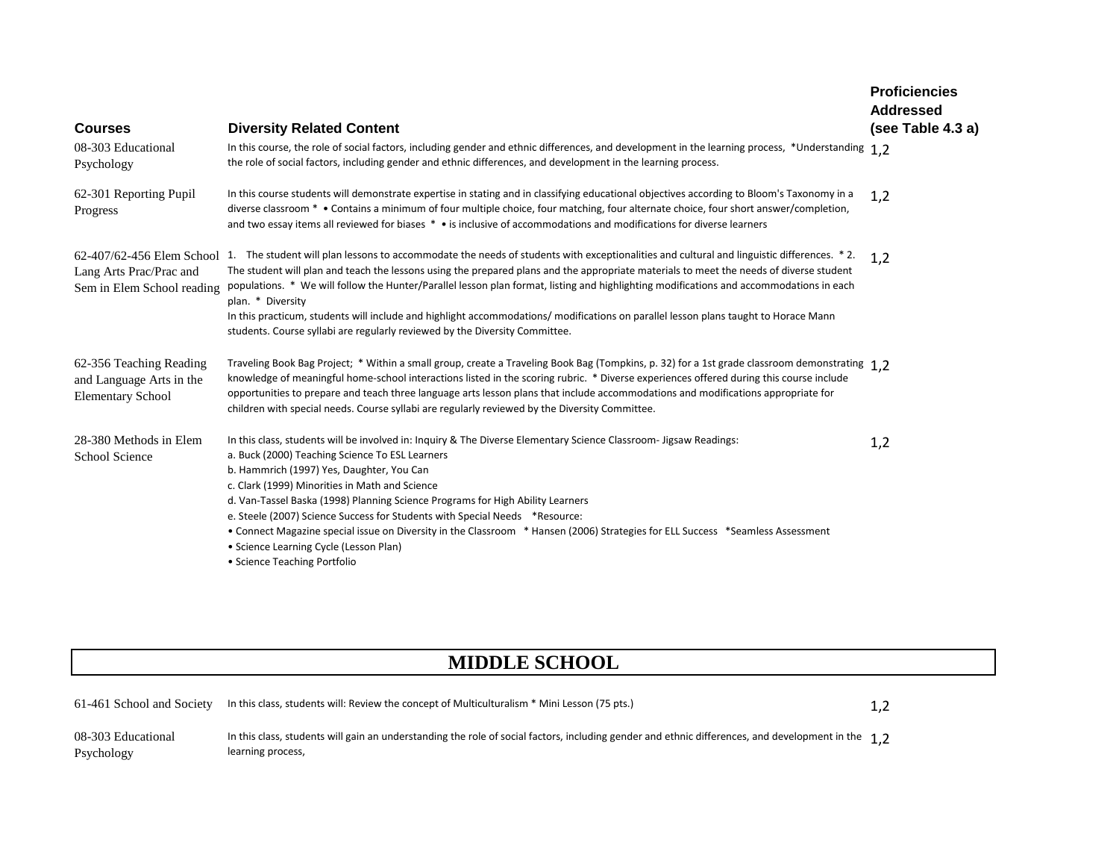| <b>Courses</b>                                                                  | <b>Diversity Related Content</b>                                                                                                                                                                                                                                                                                                                                                                                                                                                                                                                                                                                                                                                                   | <b>Proficiencies</b><br><b>Addressed</b><br>(see Table 4.3 a) |
|---------------------------------------------------------------------------------|----------------------------------------------------------------------------------------------------------------------------------------------------------------------------------------------------------------------------------------------------------------------------------------------------------------------------------------------------------------------------------------------------------------------------------------------------------------------------------------------------------------------------------------------------------------------------------------------------------------------------------------------------------------------------------------------------|---------------------------------------------------------------|
| 08-303 Educational<br>Psychology                                                | In this course, the role of social factors, including gender and ethnic differences, and development in the learning process, *Understanding 1,2<br>the role of social factors, including gender and ethnic differences, and development in the learning process.                                                                                                                                                                                                                                                                                                                                                                                                                                  |                                                               |
| 62-301 Reporting Pupil<br>Progress                                              | In this course students will demonstrate expertise in stating and in classifying educational objectives according to Bloom's Taxonomy in a<br>diverse classroom * • Contains a minimum of four multiple choice, four matching, four alternate choice, four short answer/completion,<br>and two essay items all reviewed for biases * • is inclusive of accommodations and modifications for diverse learners                                                                                                                                                                                                                                                                                       | 1,2                                                           |
| Lang Arts Prac/Prac and<br>Sem in Elem School reading                           | 62-407/62-456 Elem School 1. The student will plan lessons to accommodate the needs of students with exceptionalities and cultural and linguistic differences. *2.<br>The student will plan and teach the lessons using the prepared plans and the appropriate materials to meet the needs of diverse student<br>populations. * We will follow the Hunter/Parallel lesson plan format, listing and highlighting modifications and accommodations in each<br>plan. * Diversity<br>In this practicum, students will include and highlight accommodations/modifications on parallel lesson plans taught to Horace Mann<br>students. Course syllabi are regularly reviewed by the Diversity Committee. | 1,2                                                           |
| 62-356 Teaching Reading<br>and Language Arts in the<br><b>Elementary School</b> | Traveling Book Bag Project; * Within a small group, create a Traveling Book Bag (Tompkins, p. 32) for a 1st grade classroom demonstrating 1.2<br>knowledge of meaningful home-school interactions listed in the scoring rubric. * Diverse experiences offered during this course include<br>opportunities to prepare and teach three language arts lesson plans that include accommodations and modifications appropriate for<br>children with special needs. Course syllabi are regularly reviewed by the Diversity Committee.                                                                                                                                                                    |                                                               |
| 28-380 Methods in Elem<br><b>School Science</b>                                 | In this class, students will be involved in: Inquiry & The Diverse Elementary Science Classroom- Jigsaw Readings:<br>a. Buck (2000) Teaching Science To ESL Learners<br>b. Hammrich (1997) Yes, Daughter, You Can<br>c. Clark (1999) Minorities in Math and Science<br>d. Van-Tassel Baska (1998) Planning Science Programs for High Ability Learners<br>e. Steele (2007) Science Success for Students with Special Needs *Resource:<br>• Connect Magazine special issue on Diversity in the Classroom * Hansen (2006) Strategies for ELL Success *Seamless Assessment<br>• Science Learning Cycle (Lesson Plan)<br>• Science Teaching Portfolio                                                   | 1,2                                                           |

# **MIDDLE SCHOOL**

| 61-461 School and Society        | In this class, students will: Review the concept of Multiculturalism * Mini Lesson (75 pts.)                                                                                                    | 1.2 |
|----------------------------------|-------------------------------------------------------------------------------------------------------------------------------------------------------------------------------------------------|-----|
| 08-303 Educational<br>Psychology | In this class, students will gain an understanding the role of social factors, including gender and ethnic differences, and development in the $\rightarrow$ $\rightarrow$<br>learning process, |     |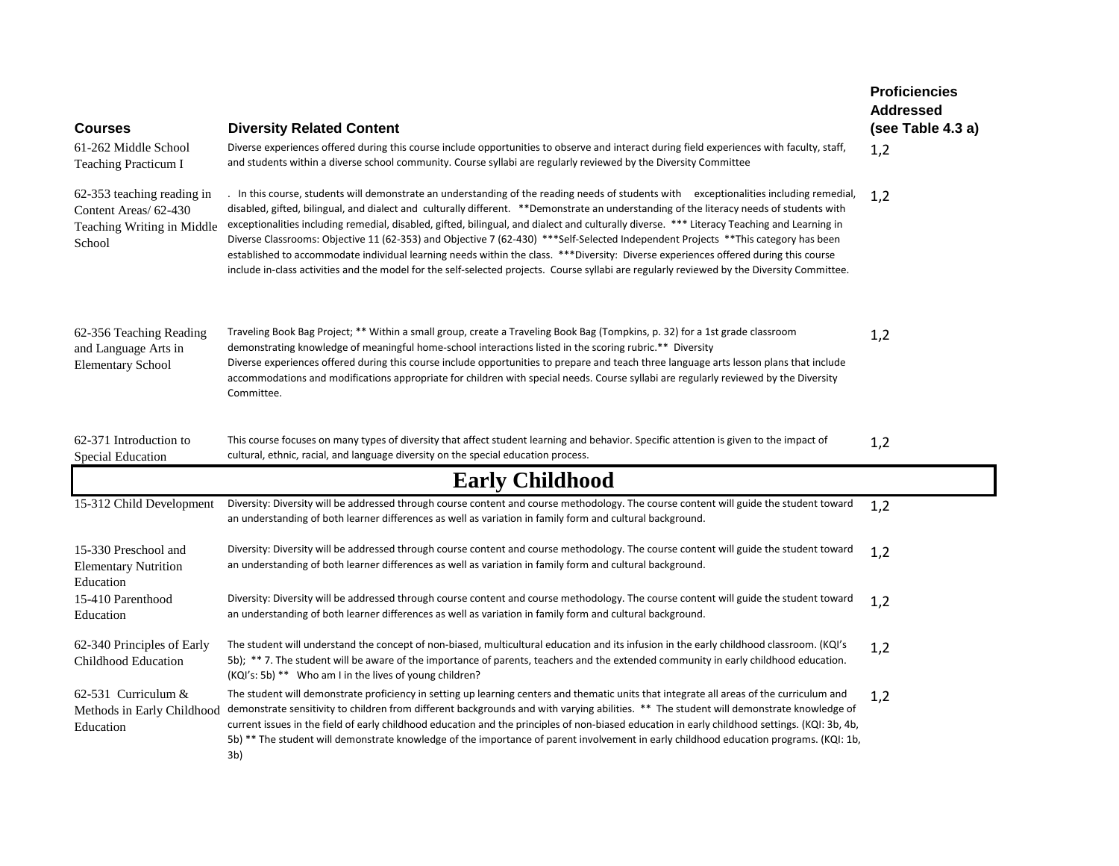| <b>Courses</b>                                                                              | <b>Diversity Related Content</b>                                                                                                                                                                                                                                                                                                                                                                                                                                                                                                                                                                                                                                                                                                                                                                                                                              | <b>Proficiencies</b><br><b>Addressed</b><br>(see Table 4.3 a) |
|---------------------------------------------------------------------------------------------|---------------------------------------------------------------------------------------------------------------------------------------------------------------------------------------------------------------------------------------------------------------------------------------------------------------------------------------------------------------------------------------------------------------------------------------------------------------------------------------------------------------------------------------------------------------------------------------------------------------------------------------------------------------------------------------------------------------------------------------------------------------------------------------------------------------------------------------------------------------|---------------------------------------------------------------|
| 61-262 Middle School<br>Teaching Practicum I                                                | Diverse experiences offered during this course include opportunities to observe and interact during field experiences with faculty, staff,<br>and students within a diverse school community. Course syllabi are regularly reviewed by the Diversity Committee                                                                                                                                                                                                                                                                                                                                                                                                                                                                                                                                                                                                | 1,2                                                           |
| 62-353 teaching reading in<br>Content Areas/ 62-430<br>Teaching Writing in Middle<br>School | . In this course, students will demonstrate an understanding of the reading needs of students with exceptionalities including remedial,<br>disabled, gifted, bilingual, and dialect and culturally different. **Demonstrate an understanding of the literacy needs of students with<br>exceptionalities including remedial, disabled, gifted, bilingual, and dialect and culturally diverse. *** Literacy Teaching and Learning in<br>Diverse Classrooms: Objective 11 (62-353) and Objective 7 (62-430) ***Self-Selected Independent Projects **This category has been<br>established to accommodate individual learning needs within the class. ***Diversity: Diverse experiences offered during this course<br>include in-class activities and the model for the self-selected projects. Course syllabi are regularly reviewed by the Diversity Committee. | 1,2                                                           |
| 62-356 Teaching Reading<br>and Language Arts in<br><b>Elementary School</b>                 | Traveling Book Bag Project; ** Within a small group, create a Traveling Book Bag (Tompkins, p. 32) for a 1st grade classroom<br>demonstrating knowledge of meaningful home-school interactions listed in the scoring rubric.** Diversity<br>Diverse experiences offered during this course include opportunities to prepare and teach three language arts lesson plans that include<br>accommodations and modifications appropriate for children with special needs. Course syllabi are regularly reviewed by the Diversity<br>Committee.                                                                                                                                                                                                                                                                                                                     | 1,2                                                           |
| 62-371 Introduction to<br>Special Education                                                 | This course focuses on many types of diversity that affect student learning and behavior. Specific attention is given to the impact of<br>cultural, ethnic, racial, and language diversity on the special education process.                                                                                                                                                                                                                                                                                                                                                                                                                                                                                                                                                                                                                                  | 1,2                                                           |
|                                                                                             | <b>Early Childhood</b>                                                                                                                                                                                                                                                                                                                                                                                                                                                                                                                                                                                                                                                                                                                                                                                                                                        |                                                               |
| 15-312 Child Development                                                                    | Diversity: Diversity will be addressed through course content and course methodology. The course content will guide the student toward<br>an understanding of both learner differences as well as variation in family form and cultural background.                                                                                                                                                                                                                                                                                                                                                                                                                                                                                                                                                                                                           | 1,2                                                           |
| 15-330 Preschool and<br><b>Elementary Nutrition</b><br>Education                            | Diversity: Diversity will be addressed through course content and course methodology. The course content will guide the student toward<br>an understanding of both learner differences as well as variation in family form and cultural background.                                                                                                                                                                                                                                                                                                                                                                                                                                                                                                                                                                                                           | 1,2                                                           |
| 15-410 Parenthood<br>Education                                                              | Diversity: Diversity will be addressed through course content and course methodology. The course content will guide the student toward<br>an understanding of both learner differences as well as variation in family form and cultural background.                                                                                                                                                                                                                                                                                                                                                                                                                                                                                                                                                                                                           | 1,2                                                           |
| 62-340 Principles of Early<br>Childhood Education                                           | The student will understand the concept of non-biased, multicultural education and its infusion in the early childhood classroom. (KQI's<br>5b); ** 7. The student will be aware of the importance of parents, teachers and the extended community in early childhood education.<br>(KQI's: 5b) ** Who am I in the lives of young children?                                                                                                                                                                                                                                                                                                                                                                                                                                                                                                                   | 1,2                                                           |
| 62-531 Curriculum $&$<br>Methods in Early Childhood<br>Education                            | The student will demonstrate proficiency in setting up learning centers and thematic units that integrate all areas of the curriculum and<br>demonstrate sensitivity to children from different backgrounds and with varying abilities. ** The student will demonstrate knowledge of<br>current issues in the field of early childhood education and the principles of non-biased education in early childhood settings. (KQI: 3b, 4b,<br>5b) ** The student will demonstrate knowledge of the importance of parent involvement in early childhood education programs. (KQI: 1b,<br>3b)                                                                                                                                                                                                                                                                       | 1,2                                                           |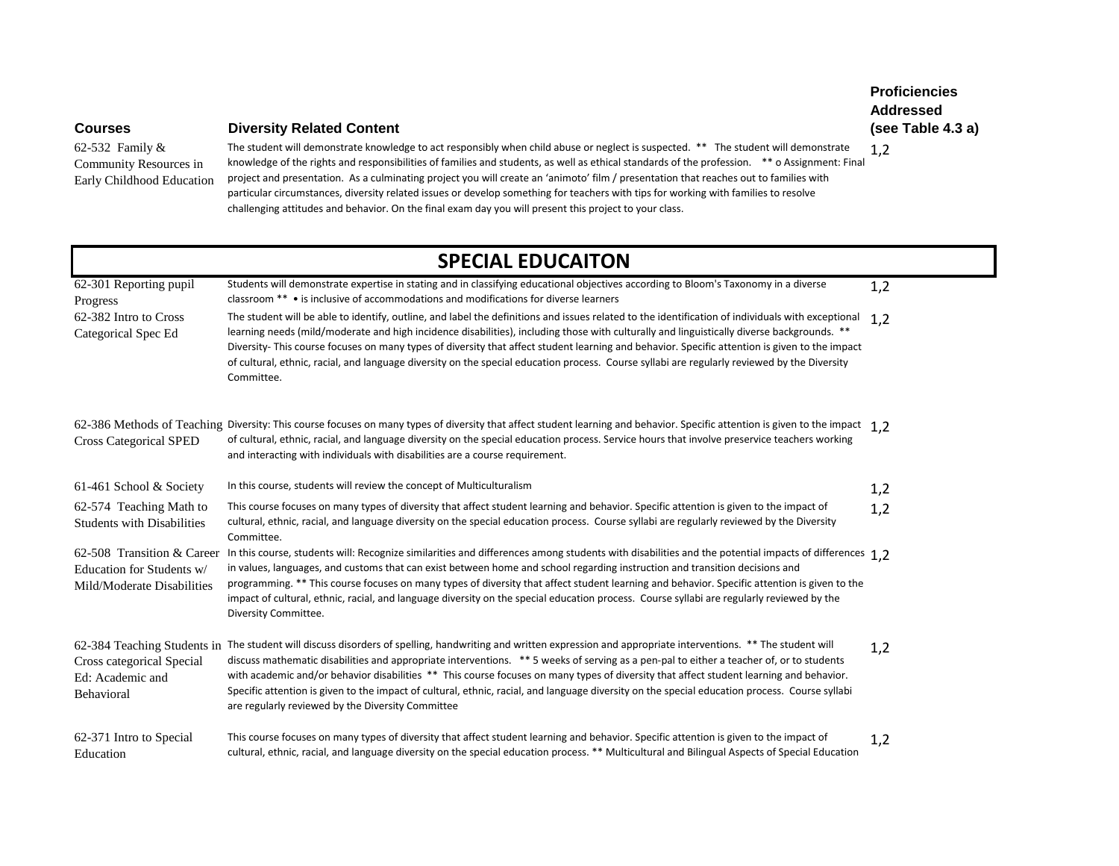## **Courses Diversity Related Content**

62-532 Family & Community Resources in Early Childhood Education

The student will demonstrate knowledge to act responsibly when child abuse or neglect is suspected. \*\* The student will demonstrate knowledge of the rights and responsibilities of families and students, as well as ethical standards of the profession. \*\* o Assignment: Final project and presentation. As a culminating project you will create an 'animoto' film / presentation that reaches out to families with particular circumstances, diversity related issues or develop something for teachers with tips for working with families to resolve challenging attitudes and behavior. On the final exam day you will present this project to your class. 1,2

# **SPECIAL EDUCAITON**

| 62-301 Reporting pupil<br>Progress                                                    | Students will demonstrate expertise in stating and in classifying educational objectives according to Bloom's Taxonomy in a diverse<br>classroom ** • is inclusive of accommodations and modifications for diverse learners                                                                                                                                                                                                                                                                                                                                                                                                                                     | 1,2 |
|---------------------------------------------------------------------------------------|-----------------------------------------------------------------------------------------------------------------------------------------------------------------------------------------------------------------------------------------------------------------------------------------------------------------------------------------------------------------------------------------------------------------------------------------------------------------------------------------------------------------------------------------------------------------------------------------------------------------------------------------------------------------|-----|
| 62-382 Intro to Cross<br>Categorical Spec Ed                                          | The student will be able to identify, outline, and label the definitions and issues related to the identification of individuals with exceptional<br>learning needs (mild/moderate and high incidence disabilities), including those with culturally and linguistically diverse backgrounds. **<br>Diversity- This course focuses on many types of diversity that affect student learning and behavior. Specific attention is given to the impact<br>of cultural, ethnic, racial, and language diversity on the special education process. Course syllabi are regularly reviewed by the Diversity<br>Committee.                                                 | 1,2 |
| <b>Cross Categorical SPED</b>                                                         | 62-386 Methods of Teaching Diversity: This course focuses on many types of diversity that affect student learning and behavior. Specific attention is given to the impact 1,2<br>of cultural, ethnic, racial, and language diversity on the special education process. Service hours that involve preservice teachers working<br>and interacting with individuals with disabilities are a course requirement.                                                                                                                                                                                                                                                   |     |
| 61-461 School & Society                                                               | In this course, students will review the concept of Multiculturalism                                                                                                                                                                                                                                                                                                                                                                                                                                                                                                                                                                                            | 1,2 |
| 62-574 Teaching Math to<br><b>Students with Disabilities</b>                          | This course focuses on many types of diversity that affect student learning and behavior. Specific attention is given to the impact of<br>cultural, ethnic, racial, and language diversity on the special education process. Course syllabi are regularly reviewed by the Diversity<br>Committee.                                                                                                                                                                                                                                                                                                                                                               | 1,2 |
| 62-508 Transition & Career<br>Education for Students w/<br>Mild/Moderate Disabilities | In this course, students will: Recognize similarities and differences among students with disabilities and the potential impacts of differences 1.2<br>in values, languages, and customs that can exist between home and school regarding instruction and transition decisions and<br>programming. ** This course focuses on many types of diversity that affect student learning and behavior. Specific attention is given to the<br>impact of cultural, ethnic, racial, and language diversity on the special education process. Course syllabi are regularly reviewed by the<br>Diversity Committee.                                                         |     |
| Cross categorical Special<br>Ed: Academic and<br>Behavioral                           | 62-384 Teaching Students in The student will discuss disorders of spelling, handwriting and written expression and appropriate interventions. ** The student will<br>discuss mathematic disabilities and appropriate interventions. ** 5 weeks of serving as a pen-pal to either a teacher of, or to students<br>with academic and/or behavior disabilities ** This course focuses on many types of diversity that affect student learning and behavior.<br>Specific attention is given to the impact of cultural, ethnic, racial, and language diversity on the special education process. Course syllabi<br>are regularly reviewed by the Diversity Committee | 1,2 |
| 62-371 Intro to Special<br>Education                                                  | This course focuses on many types of diversity that affect student learning and behavior. Specific attention is given to the impact of<br>cultural, ethnic, racial, and language diversity on the special education process. ** Multicultural and Bilingual Aspects of Special Education                                                                                                                                                                                                                                                                                                                                                                        | 1,2 |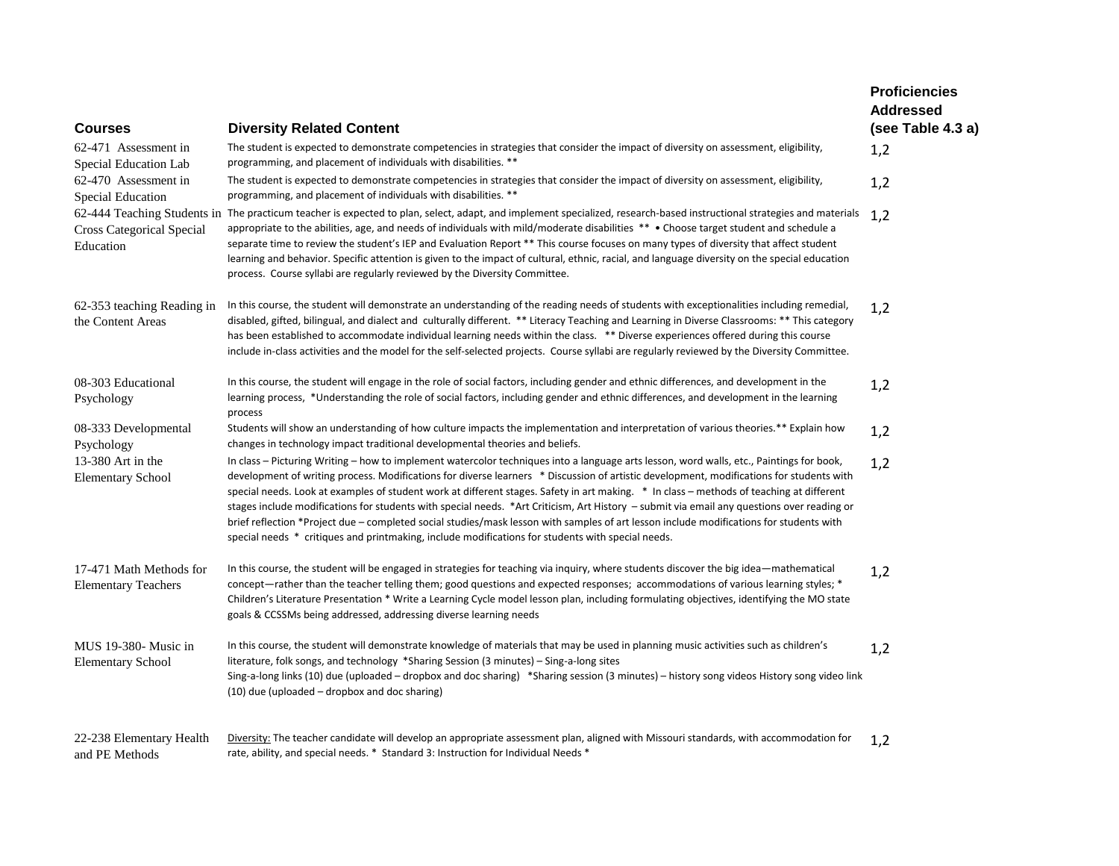| <b>Courses</b>                                        | <b>Diversity Related Content</b>                                                                                                                                                                                                                                                                                                                                                                                                                                                                                                                                                                                                                                                                                                                                                                                               | <b>Proficiencies</b><br><b>Addressed</b><br>(see Table 4.3 a) |
|-------------------------------------------------------|--------------------------------------------------------------------------------------------------------------------------------------------------------------------------------------------------------------------------------------------------------------------------------------------------------------------------------------------------------------------------------------------------------------------------------------------------------------------------------------------------------------------------------------------------------------------------------------------------------------------------------------------------------------------------------------------------------------------------------------------------------------------------------------------------------------------------------|---------------------------------------------------------------|
| 62-471 Assessment in<br>Special Education Lab         | The student is expected to demonstrate competencies in strategies that consider the impact of diversity on assessment, eligibility,<br>programming, and placement of individuals with disabilities. **                                                                                                                                                                                                                                                                                                                                                                                                                                                                                                                                                                                                                         | 1,2                                                           |
| 62-470 Assessment in<br>Special Education             | The student is expected to demonstrate competencies in strategies that consider the impact of diversity on assessment, eligibility,<br>programming, and placement of individuals with disabilities. **                                                                                                                                                                                                                                                                                                                                                                                                                                                                                                                                                                                                                         | 1,2                                                           |
| <b>Cross Categorical Special</b><br>Education         | 62-444 Teaching Students in The practicum teacher is expected to plan, select, adapt, and implement specialized, research-based instructional strategies and materials<br>appropriate to the abilities, age, and needs of individuals with mild/moderate disabilities ** • Choose target student and schedule a<br>separate time to review the student's IEP and Evaluation Report ** This course focuses on many types of diversity that affect student<br>learning and behavior. Specific attention is given to the impact of cultural, ethnic, racial, and language diversity on the special education<br>process. Course syllabi are regularly reviewed by the Diversity Committee.                                                                                                                                        | 1,2                                                           |
| 62-353 teaching Reading in<br>the Content Areas       | In this course, the student will demonstrate an understanding of the reading needs of students with exceptionalities including remedial,<br>disabled, gifted, bilingual, and dialect and culturally different. ** Literacy Teaching and Learning in Diverse Classrooms: ** This category<br>has been established to accommodate individual learning needs within the class. ** Diverse experiences offered during this course<br>include in-class activities and the model for the self-selected projects. Course syllabi are regularly reviewed by the Diversity Committee.                                                                                                                                                                                                                                                   | 1,2                                                           |
| 08-303 Educational<br>Psychology                      | In this course, the student will engage in the role of social factors, including gender and ethnic differences, and development in the<br>learning process, *Understanding the role of social factors, including gender and ethnic differences, and development in the learning<br>process                                                                                                                                                                                                                                                                                                                                                                                                                                                                                                                                     | 1,2                                                           |
| 08-333 Developmental<br>Psychology                    | Students will show an understanding of how culture impacts the implementation and interpretation of various theories.** Explain how<br>changes in technology impact traditional developmental theories and beliefs.                                                                                                                                                                                                                                                                                                                                                                                                                                                                                                                                                                                                            | 1,2                                                           |
| 13-380 Art in the<br><b>Elementary School</b>         | In class - Picturing Writing - how to implement watercolor techniques into a language arts lesson, word walls, etc., Paintings for book,<br>development of writing process. Modifications for diverse learners * Discussion of artistic development, modifications for students with<br>special needs. Look at examples of student work at different stages. Safety in art making. * In class – methods of teaching at different<br>stages include modifications for students with special needs. *Art Criticism, Art History – submit via email any questions over reading or<br>brief reflection *Project due - completed social studies/mask lesson with samples of art lesson include modifications for students with<br>special needs * critiques and printmaking, include modifications for students with special needs. | 1,2                                                           |
| 17-471 Math Methods for<br><b>Elementary Teachers</b> | In this course, the student will be engaged in strategies for teaching via inquiry, where students discover the big idea—mathematical<br>concept—rather than the teacher telling them; good questions and expected responses; accommodations of various learning styles; *<br>Children's Literature Presentation * Write a Learning Cycle model lesson plan, including formulating objectives, identifying the MO state<br>goals & CCSSMs being addressed, addressing diverse learning needs                                                                                                                                                                                                                                                                                                                                   | 1,2                                                           |
| MUS 19-380- Music in<br><b>Elementary School</b>      | In this course, the student will demonstrate knowledge of materials that may be used in planning music activities such as children's<br>literature, folk songs, and technology *Sharing Session (3 minutes) – Sing-a-long sites<br>Sing-a-long links (10) due (uploaded – dropbox and doc sharing) *Sharing session (3 minutes) – history song videos History song video link<br>(10) due (uploaded – dropbox and doc sharing)                                                                                                                                                                                                                                                                                                                                                                                                 | 1,2                                                           |
| 22-238 Elementary Health<br>and PE Methods            | Diversity: The teacher candidate will develop an appropriate assessment plan, aligned with Missouri standards, with accommodation for<br>rate, ability, and special needs. * Standard 3: Instruction for Individual Needs *                                                                                                                                                                                                                                                                                                                                                                                                                                                                                                                                                                                                    | 1,2                                                           |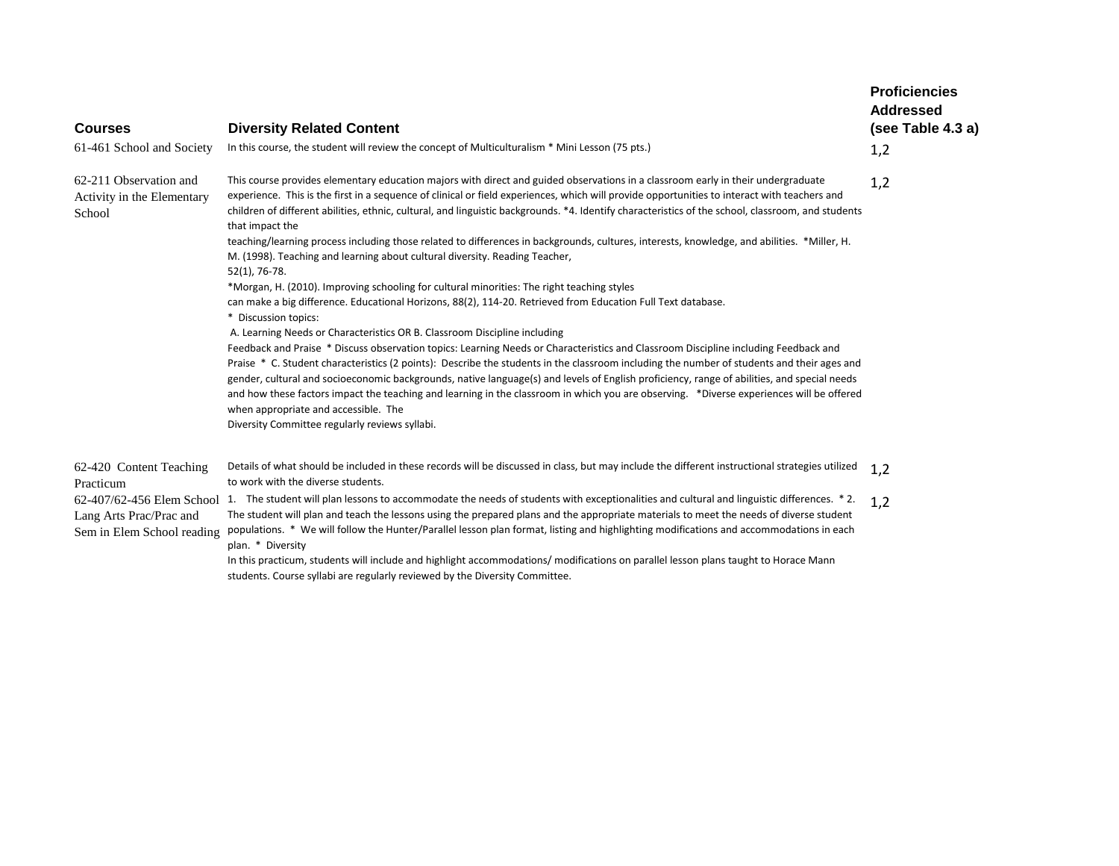| <b>Courses</b><br>61-461 School and Society                                                   | <b>Diversity Related Content</b><br>In this course, the student will review the concept of Multiculturalism * Mini Lesson (75 pts.)                                                                                                                                                                                                                                                                                                                                                                                                                                                                                                                                                                                                                                                                                                                                                                                                                                                                                                                                                                                                                                                                                                                                                                                                                                                                                                                                                                                                                                                                                                                                                                   | <b>Proficiencies</b><br><b>Addressed</b><br>(see Table 4.3 a)<br>1,2 |
|-----------------------------------------------------------------------------------------------|-------------------------------------------------------------------------------------------------------------------------------------------------------------------------------------------------------------------------------------------------------------------------------------------------------------------------------------------------------------------------------------------------------------------------------------------------------------------------------------------------------------------------------------------------------------------------------------------------------------------------------------------------------------------------------------------------------------------------------------------------------------------------------------------------------------------------------------------------------------------------------------------------------------------------------------------------------------------------------------------------------------------------------------------------------------------------------------------------------------------------------------------------------------------------------------------------------------------------------------------------------------------------------------------------------------------------------------------------------------------------------------------------------------------------------------------------------------------------------------------------------------------------------------------------------------------------------------------------------------------------------------------------------------------------------------------------------|----------------------------------------------------------------------|
| 62-211 Observation and<br>Activity in the Elementary<br>School                                | This course provides elementary education majors with direct and guided observations in a classroom early in their undergraduate<br>experience. This is the first in a sequence of clinical or field experiences, which will provide opportunities to interact with teachers and<br>children of different abilities, ethnic, cultural, and linguistic backgrounds. *4. Identify characteristics of the school, classroom, and students<br>that impact the<br>teaching/learning process including those related to differences in backgrounds, cultures, interests, knowledge, and abilities. *Miller, H.<br>M. (1998). Teaching and learning about cultural diversity. Reading Teacher,<br>52(1), 76-78.<br>*Morgan, H. (2010). Improving schooling for cultural minorities: The right teaching styles<br>can make a big difference. Educational Horizons, 88(2), 114-20. Retrieved from Education Full Text database.<br>* Discussion topics:<br>A. Learning Needs or Characteristics OR B. Classroom Discipline including<br>Feedback and Praise * Discuss observation topics: Learning Needs or Characteristics and Classroom Discipline including Feedback and<br>Praise * C. Student characteristics (2 points): Describe the students in the classroom including the number of students and their ages and<br>gender, cultural and socioeconomic backgrounds, native language(s) and levels of English proficiency, range of abilities, and special needs<br>and how these factors impact the teaching and learning in the classroom in which you are observing. *Diverse experiences will be offered<br>when appropriate and accessible. The<br>Diversity Committee regularly reviews syllabi. | 1,2                                                                  |
| 62-420 Content Teaching<br>Practicum<br>Lang Arts Prac/Prac and<br>Sem in Elem School reading | Details of what should be included in these records will be discussed in class, but may include the different instructional strategies utilized<br>to work with the diverse students.<br>62-407/62-456 Elem School 1. The student will plan lessons to accommodate the needs of students with exceptionalities and cultural and linguistic differences. *2.<br>The student will plan and teach the lessons using the prepared plans and the appropriate materials to meet the needs of diverse student<br>populations. * We will follow the Hunter/Parallel lesson plan format, listing and highlighting modifications and accommodations in each<br>plan. * Diversity<br>In this practicum, students will include and highlight accommodations/modifications on parallel lesson plans taught to Horace Mann<br>students. Course syllabi are regularly reviewed by the Diversity Committee.                                                                                                                                                                                                                                                                                                                                                                                                                                                                                                                                                                                                                                                                                                                                                                                                           | 1,2<br>1,2                                                           |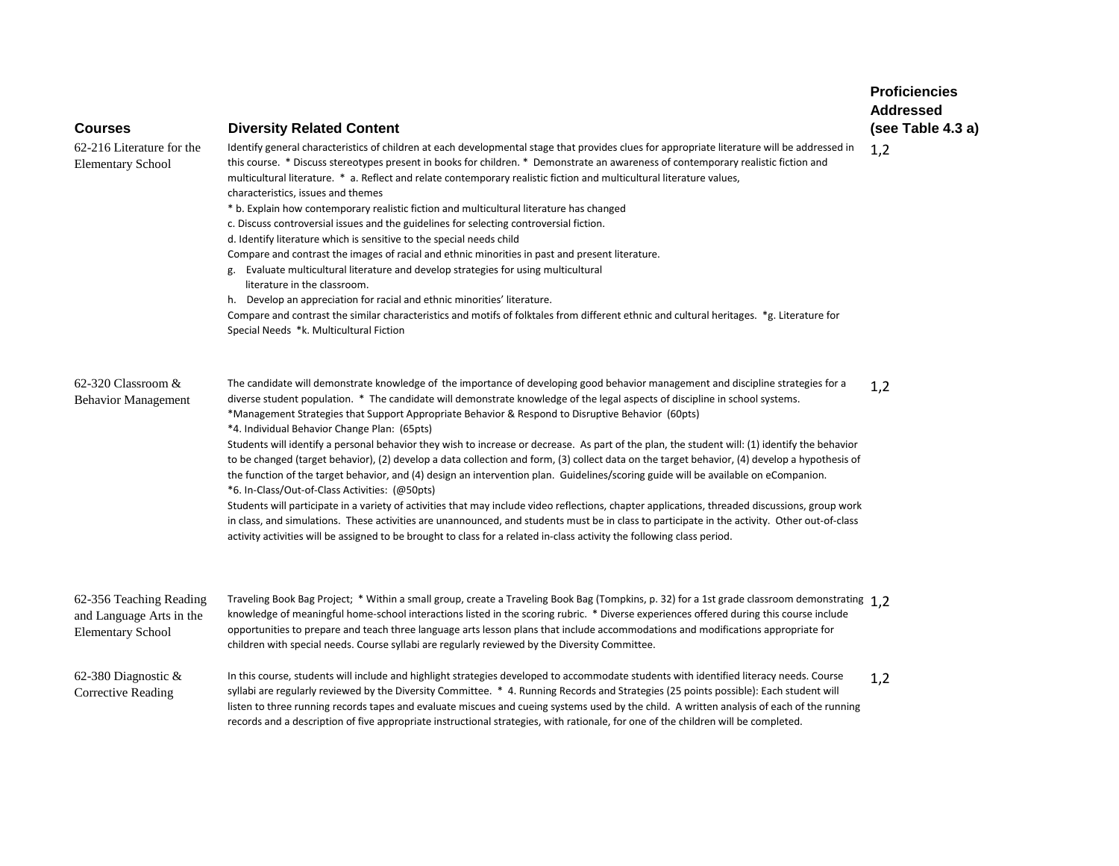| <b>Courses</b>                                                                  | <b>Diversity Related Content</b>                                                                                                                                                                                                                                                                                                                                                                                                                                                                                                                                                                                                                                                                                                                                                                                                                                                                                                                                                                                                                                                                                                                                                                                                                                                                                                                  | <b>Proficiencies</b><br><b>Addressed</b><br>(see Table 4.3 a) |
|---------------------------------------------------------------------------------|---------------------------------------------------------------------------------------------------------------------------------------------------------------------------------------------------------------------------------------------------------------------------------------------------------------------------------------------------------------------------------------------------------------------------------------------------------------------------------------------------------------------------------------------------------------------------------------------------------------------------------------------------------------------------------------------------------------------------------------------------------------------------------------------------------------------------------------------------------------------------------------------------------------------------------------------------------------------------------------------------------------------------------------------------------------------------------------------------------------------------------------------------------------------------------------------------------------------------------------------------------------------------------------------------------------------------------------------------|---------------------------------------------------------------|
| 62-216 Literature for the<br><b>Elementary School</b>                           | Identify general characteristics of children at each developmental stage that provides clues for appropriate literature will be addressed in<br>this course. * Discuss stereotypes present in books for children. * Demonstrate an awareness of contemporary realistic fiction and<br>multicultural literature. * a. Reflect and relate contemporary realistic fiction and multicultural literature values,<br>characteristics, issues and themes<br>* b. Explain how contemporary realistic fiction and multicultural literature has changed<br>c. Discuss controversial issues and the guidelines for selecting controversial fiction.<br>d. Identify literature which is sensitive to the special needs child<br>Compare and contrast the images of racial and ethnic minorities in past and present literature.<br>Evaluate multicultural literature and develop strategies for using multicultural<br>literature in the classroom.<br>h. Develop an appreciation for racial and ethnic minorities' literature.<br>Compare and contrast the similar characteristics and motifs of folktales from different ethnic and cultural heritages. *g. Literature for<br>Special Needs *k. Multicultural Fiction                                                                                                                                       | 1,2                                                           |
| 62-320 Classroom &<br><b>Behavior Management</b>                                | The candidate will demonstrate knowledge of the importance of developing good behavior management and discipline strategies for a<br>diverse student population. * The candidate will demonstrate knowledge of the legal aspects of discipline in school systems.<br>*Management Strategies that Support Appropriate Behavior & Respond to Disruptive Behavior (60pts)<br>*4. Individual Behavior Change Plan: (65pts)<br>Students will identify a personal behavior they wish to increase or decrease. As part of the plan, the student will: (1) identify the behavior<br>to be changed (target behavior), (2) develop a data collection and form, (3) collect data on the target behavior, (4) develop a hypothesis of<br>the function of the target behavior, and (4) design an intervention plan. Guidelines/scoring guide will be available on eCompanion.<br>*6. In-Class/Out-of-Class Activities: (@50pts)<br>Students will participate in a variety of activities that may include video reflections, chapter applications, threaded discussions, group work<br>in class, and simulations. These activities are unannounced, and students must be in class to participate in the activity. Other out-of-class<br>activity activities will be assigned to be brought to class for a related in-class activity the following class period. | 1,2                                                           |
| 62-356 Teaching Reading<br>and Language Arts in the<br><b>Elementary School</b> | Traveling Book Bag Project; * Within a small group, create a Traveling Book Bag (Tompkins, p. 32) for a 1st grade classroom demonstrating 1.2<br>knowledge of meaningful home-school interactions listed in the scoring rubric. * Diverse experiences offered during this course include<br>opportunities to prepare and teach three language arts lesson plans that include accommodations and modifications appropriate for<br>children with special needs. Course syllabi are regularly reviewed by the Diversity Committee.                                                                                                                                                                                                                                                                                                                                                                                                                                                                                                                                                                                                                                                                                                                                                                                                                   |                                                               |
| 62-380 Diagnostic $\&$<br><b>Corrective Reading</b>                             | In this course, students will include and highlight strategies developed to accommodate students with identified literacy needs. Course<br>syllabi are regularly reviewed by the Diversity Committee. * 4. Running Records and Strategies (25 points possible): Each student will<br>listen to three running records tapes and evaluate miscues and cueing systems used by the child. A written analysis of each of the running<br>records and a description of five appropriate instructional strategies, with rationale, for one of the children will be completed.                                                                                                                                                                                                                                                                                                                                                                                                                                                                                                                                                                                                                                                                                                                                                                             | 1,2                                                           |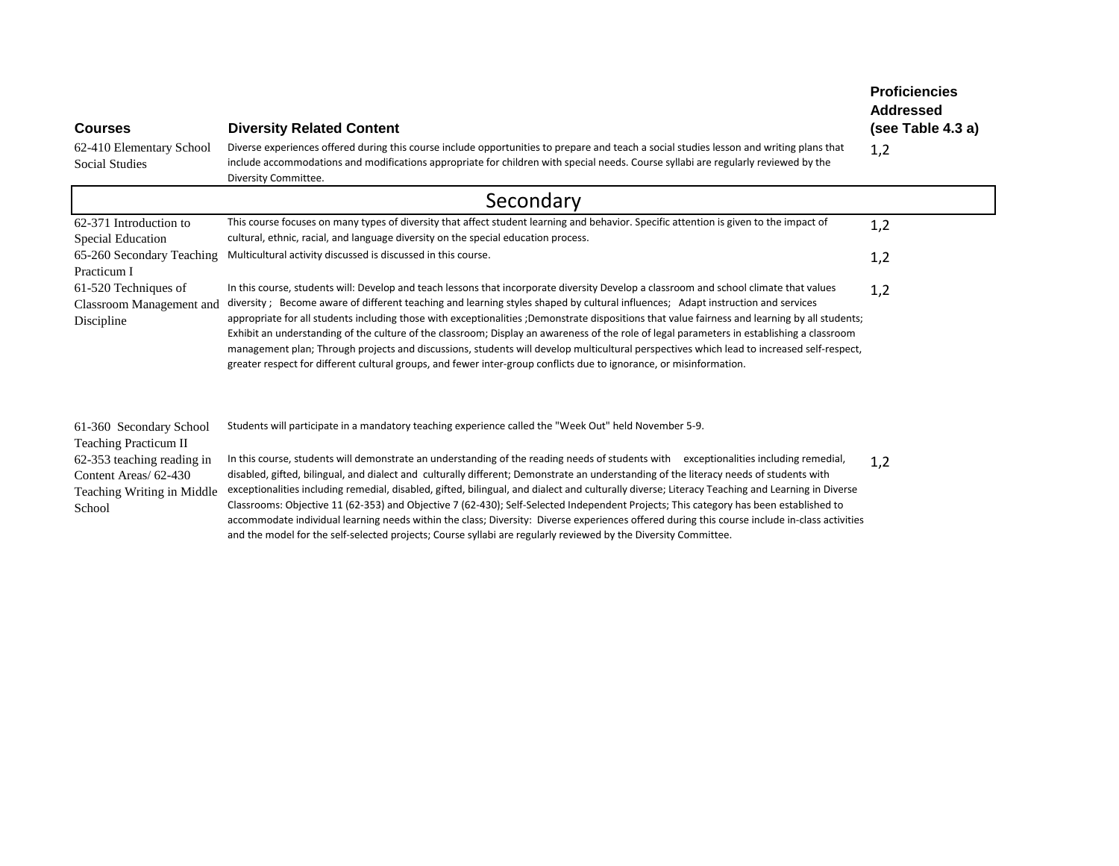| <b>Courses</b>                                                                                                                                  | <b>Diversity Related Content</b>                                                                                                                                                                                                                                                                                                                                                                                                                                                                                                                                                                                                                                                                                                                                                                                                                                                                                                                         | <b>Proficiencies</b><br><b>Addressed</b><br>(see Table 4.3 a) |
|-------------------------------------------------------------------------------------------------------------------------------------------------|----------------------------------------------------------------------------------------------------------------------------------------------------------------------------------------------------------------------------------------------------------------------------------------------------------------------------------------------------------------------------------------------------------------------------------------------------------------------------------------------------------------------------------------------------------------------------------------------------------------------------------------------------------------------------------------------------------------------------------------------------------------------------------------------------------------------------------------------------------------------------------------------------------------------------------------------------------|---------------------------------------------------------------|
| 62-410 Elementary School<br><b>Social Studies</b>                                                                                               | Diverse experiences offered during this course include opportunities to prepare and teach a social studies lesson and writing plans that<br>include accommodations and modifications appropriate for children with special needs. Course syllabi are regularly reviewed by the<br>Diversity Committee.                                                                                                                                                                                                                                                                                                                                                                                                                                                                                                                                                                                                                                                   | 1,2                                                           |
|                                                                                                                                                 | Secondary                                                                                                                                                                                                                                                                                                                                                                                                                                                                                                                                                                                                                                                                                                                                                                                                                                                                                                                                                |                                                               |
| 62-371 Introduction to<br><b>Special Education</b>                                                                                              | This course focuses on many types of diversity that affect student learning and behavior. Specific attention is given to the impact of<br>cultural, ethnic, racial, and language diversity on the special education process.                                                                                                                                                                                                                                                                                                                                                                                                                                                                                                                                                                                                                                                                                                                             | 1,2                                                           |
| 65-260 Secondary Teaching<br>Practicum I                                                                                                        | Multicultural activity discussed is discussed in this course.                                                                                                                                                                                                                                                                                                                                                                                                                                                                                                                                                                                                                                                                                                                                                                                                                                                                                            | 1,2                                                           |
| 61-520 Techniques of<br>Classroom Management and<br>Discipline                                                                                  | In this course, students will: Develop and teach lessons that incorporate diversity Develop a classroom and school climate that values<br>diversity; Become aware of different teaching and learning styles shaped by cultural influences; Adapt instruction and services<br>appropriate for all students including those with exceptionalities ;Demonstrate dispositions that value fairness and learning by all students;<br>Exhibit an understanding of the culture of the classroom; Display an awareness of the role of legal parameters in establishing a classroom<br>management plan; Through projects and discussions, students will develop multicultural perspectives which lead to increased self-respect,<br>greater respect for different cultural groups, and fewer inter-group conflicts due to ignorance, or misinformation.                                                                                                            | 1,2                                                           |
| 61-360 Secondary School<br>Teaching Practicum II<br>62-353 teaching reading in<br>Content Areas/ 62-430<br>Teaching Writing in Middle<br>School | Students will participate in a mandatory teaching experience called the "Week Out" held November 5-9.<br>In this course, students will demonstrate an understanding of the reading needs of students with exceptionalities including remedial,<br>disabled, gifted, bilingual, and dialect and culturally different; Demonstrate an understanding of the literacy needs of students with<br>exceptionalities including remedial, disabled, gifted, bilingual, and dialect and culturally diverse; Literacy Teaching and Learning in Diverse<br>Classrooms: Objective 11 (62-353) and Objective 7 (62-430); Self-Selected Independent Projects; This category has been established to<br>accommodate individual learning needs within the class; Diversity: Diverse experiences offered during this course include in-class activities<br>and the model for the self-selected projects; Course syllabi are regularly reviewed by the Diversity Committee. | 1,2                                                           |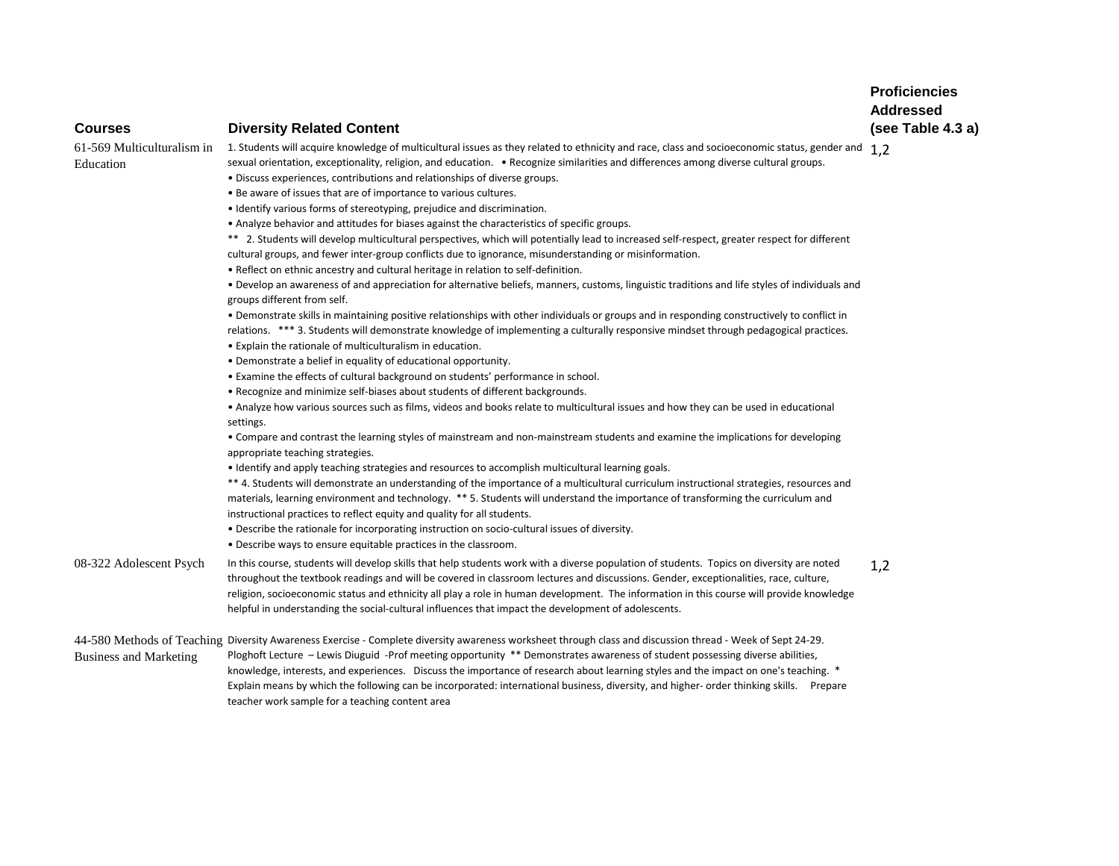# **Courses Diversity Related Content**

Education

# $61$ -569 Multiculturalism in  $\:$  1. Students will acquire knowledge of multicultural issues as they related to ethnicity and race, class and socioeconomic status, gender and  $\:1,2$ sexual orientation, exceptionality, religion, and education. • Recognize similarities and differences among diverse cultural groups.

• Discuss experiences, contributions and relationships of diverse groups.

- Be aware of issues that are of importance to various cultures.
- Identify various forms of stereotyping, prejudice and discrimination.
- Analyze behavior and attitudes for biases against the characteristics of specific groups.

\*\* 2. Students will develop multicultural perspectives, which will potentially lead to increased self-respect, greater respect for different cultural groups, and fewer inter-group conflicts due to ignorance, misunderstanding or misinformation.

• Reflect on ethnic ancestry and cultural heritage in relation to self-definition.

• Develop an awareness of and appreciation for alternative beliefs, manners, customs, linguistic traditions and life styles of individuals and groups different from self.

• Demonstrate skills in maintaining positive relationships with other individuals or groups and in responding constructively to conflict in relations. \*\*\* 3. Students will demonstrate knowledge of implementing a culturally responsive mindset through pedagogical practices.

- Explain the rationale of multiculturalism in education.
- Demonstrate a belief in equality of educational opportunity.
- Examine the effects of cultural background on students' performance in school.
- Recognize and minimize self-biases about students of different backgrounds.

• Analyze how various sources such as films, videos and books relate to multicultural issues and how they can be used in educational settings.

• Compare and contrast the learning styles of mainstream and non-mainstream students and examine the implications for developing appropriate teaching strategies.

• Identify and apply teaching strategies and resources to accomplish multicultural learning goals.

\*\* 4. Students will demonstrate an understanding of the importance of a multicultural curriculum instructional strategies, resources and materials, learning environment and technology. \*\* 5. Students will understand the importance of transforming the curriculum and instructional practices to reflect equity and quality for all students.

- Describe the rationale for incorporating instruction on socio-cultural issues of diversity.
- Describe ways to ensure equitable practices in the classroom.

08-322 Adolescent Psych In this course, students will develop skills that help students work with a diverse population of students. Topics on diversity are noted throughout the textbook readings and will be covered in classroom lectures and discussions. Gender, exceptionalities, race, culture, religion, socioeconomic status and ethnicity all play a role in human development. The information in this course will provide knowledge helpful in understanding the social-cultural influences that impact the development of adolescents. 1,2

44-580 Methods of Teaching Diversity Awareness Exercise - Complete diversity awareness worksheet through class and discussion thread - Week of Sept 24-29. Business and Marketing Ploghoft Lecture – Lewis Diuguid -Prof meeting opportunity \*\* Demonstrates awareness of student possessing diverse abilities, knowledge, interests, and experiences. Discuss the importance of research about learning styles and the impact on one's teaching. \* Explain means by which the following can be incorporated: international business, diversity, and higher- order thinking skills. Prepare teacher work sample for a teaching content area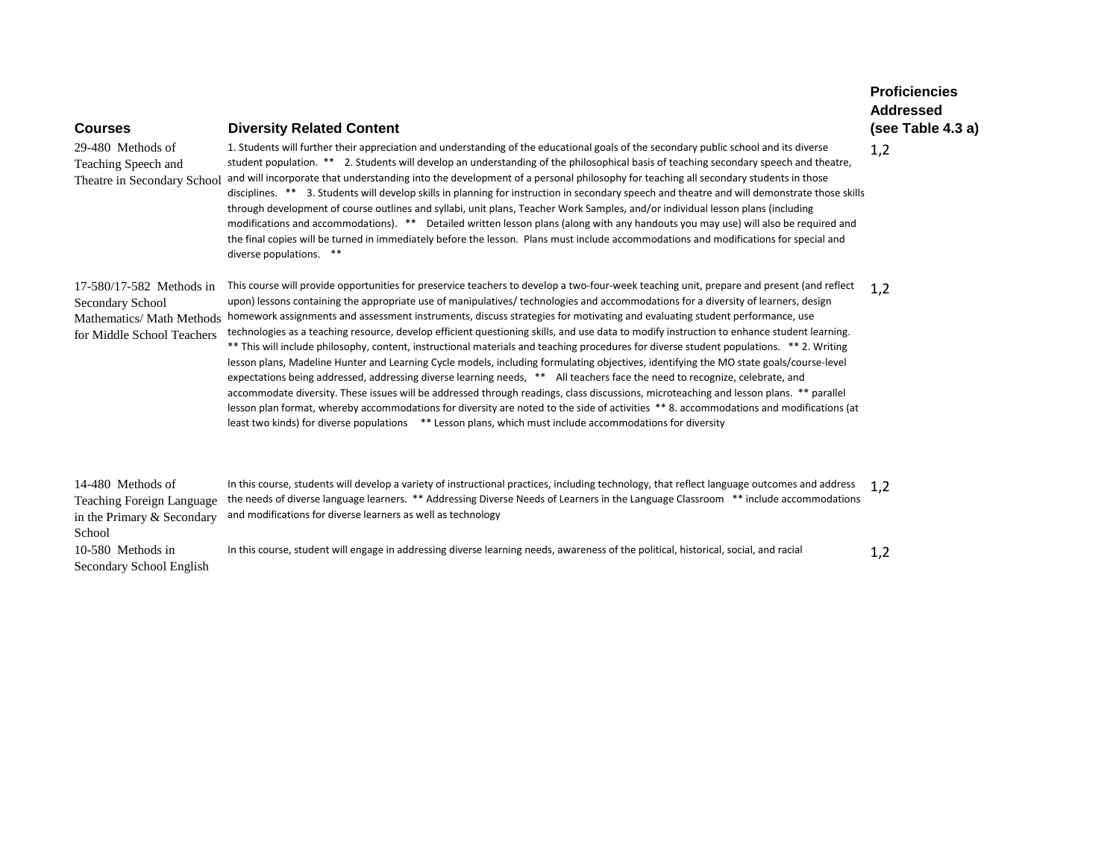| <b>Courses</b>                                                                                                 | <b>Diversity Related Content</b>                                                                                                                                                                                                                                                                                                                                                                                                                                                                                                                                                                                                                                                                                                                                                                                                                                                                                                                                                                                                                                                                                                                                                                                                                                                                                                                                                   | <b>Addressed</b><br>(see Table 4.3 a) |
|----------------------------------------------------------------------------------------------------------------|------------------------------------------------------------------------------------------------------------------------------------------------------------------------------------------------------------------------------------------------------------------------------------------------------------------------------------------------------------------------------------------------------------------------------------------------------------------------------------------------------------------------------------------------------------------------------------------------------------------------------------------------------------------------------------------------------------------------------------------------------------------------------------------------------------------------------------------------------------------------------------------------------------------------------------------------------------------------------------------------------------------------------------------------------------------------------------------------------------------------------------------------------------------------------------------------------------------------------------------------------------------------------------------------------------------------------------------------------------------------------------|---------------------------------------|
| 29-480 Methods of<br>Teaching Speech and<br>Theatre in Secondary School                                        | 1. Students will further their appreciation and understanding of the educational goals of the secondary public school and its diverse<br>student population. ** 2. Students will develop an understanding of the philosophical basis of teaching secondary speech and theatre,<br>and will incorporate that understanding into the development of a personal philosophy for teaching all secondary students in those<br>disciplines. ** 3. Students will develop skills in planning for instruction in secondary speech and theatre and will demonstrate those skills<br>through development of course outlines and syllabi, unit plans, Teacher Work Samples, and/or individual lesson plans (including<br>modifications and accommodations). ** Detailed written lesson plans (along with any handouts you may use) will also be required and<br>the final copies will be turned in immediately before the lesson. Plans must include accommodations and modifications for special and<br>diverse populations. **                                                                                                                                                                                                                                                                                                                                                                | 1,2                                   |
| 17-580/17-582 Methods in<br>Secondary School<br><b>Mathematics/ Math Methods</b><br>for Middle School Teachers | This course will provide opportunities for preservice teachers to develop a two-four-week teaching unit, prepare and present (and reflect<br>upon) lessons containing the appropriate use of manipulatives/ technologies and accommodations for a diversity of learners, design<br>homework assignments and assessment instruments, discuss strategies for motivating and evaluating student performance, use<br>technologies as a teaching resource, develop efficient questioning skills, and use data to modify instruction to enhance student learning.<br>** This will include philosophy, content, instructional materials and teaching procedures for diverse student populations. ** 2. Writing<br>lesson plans, Madeline Hunter and Learning Cycle models, including formulating objectives, identifying the MO state goals/course-level<br>expectations being addressed, addressing diverse learning needs, ** All teachers face the need to recognize, celebrate, and<br>accommodate diversity. These issues will be addressed through readings, class discussions, microteaching and lesson plans. ** parallel<br>lesson plan format, whereby accommodations for diversity are noted to the side of activities ** 8. accommodations and modifications (at<br>least two kinds) for diverse populations ** Lesson plans, which must include accommodations for diversity | 1,2                                   |
| 14-480 Methods of<br><b>Teaching Foreign Language</b><br>in the Primary & Secondary<br>School                  | In this course, students will develop a variety of instructional practices, including technology, that reflect language outcomes and address<br>the needs of diverse language learners. ** Addressing Diverse Needs of Learners in the Language Classroom ** include accommodations<br>and modifications for diverse learners as well as technology                                                                                                                                                                                                                                                                                                                                                                                                                                                                                                                                                                                                                                                                                                                                                                                                                                                                                                                                                                                                                                | 1.2                                   |
| 10-580 Methods in<br>Secondary School English                                                                  | In this course, student will engage in addressing diverse learning needs, awareness of the political, historical, social, and racial                                                                                                                                                                                                                                                                                                                                                                                                                                                                                                                                                                                                                                                                                                                                                                                                                                                                                                                                                                                                                                                                                                                                                                                                                                               | 1,2                                   |

**Proficiencies**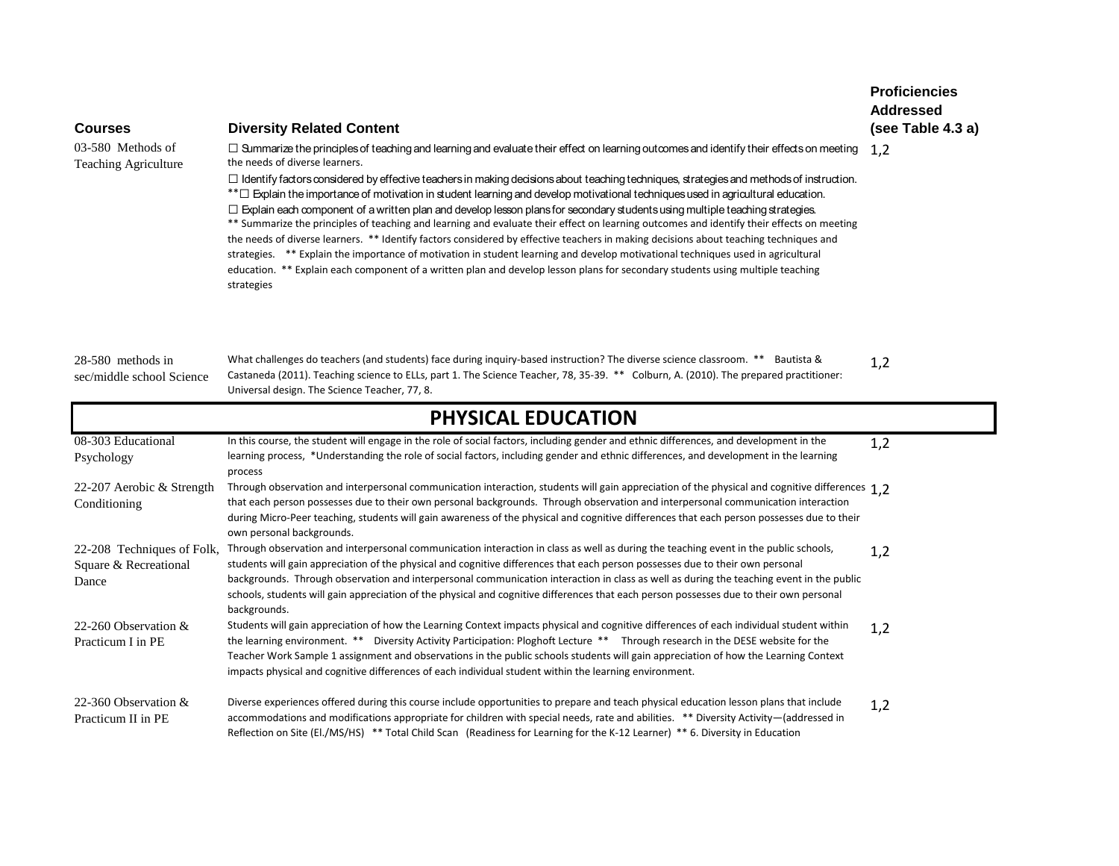| <b>Courses</b><br>$03-580$ Methods of<br>Teaching Agriculture | <b>Diversity Related Content</b><br>□ Summarize the principles of teaching and learning and evaluate their effect on learning outcomes and identify their effects on meeting<br>the needs of diverse learners.<br>$\Box$ Identify factors considered by effective teachers in making decisions about teaching techniques, strategies and methods of instruction.<br>** $\Box$ Explain the importance of motivation in student learning and develop motivational techniques used in agricultural education.<br>$\Box$ Explain each component of a written plan and develop lesson plans for secondary students using multiple teaching strategies.<br>** Summarize the principles of teaching and learning and evaluate their effect on learning outcomes and identify their effects on meeting<br>the needs of diverse learners. ** Identify factors considered by effective teachers in making decisions about teaching techniques and<br>strategies. ** Explain the importance of motivation in student learning and develop motivational techniques used in agricultural<br>education. ** Explain each component of a written plan and develop lesson plans for secondary students using multiple teaching<br>strategies | <b>Proficiencies</b><br><b>Addressed</b><br>(see Table 4.3 a)<br>1,2 |
|---------------------------------------------------------------|-----------------------------------------------------------------------------------------------------------------------------------------------------------------------------------------------------------------------------------------------------------------------------------------------------------------------------------------------------------------------------------------------------------------------------------------------------------------------------------------------------------------------------------------------------------------------------------------------------------------------------------------------------------------------------------------------------------------------------------------------------------------------------------------------------------------------------------------------------------------------------------------------------------------------------------------------------------------------------------------------------------------------------------------------------------------------------------------------------------------------------------------------------------------------------------------------------------------------------|----------------------------------------------------------------------|
| 28-580 methods in<br>sec/middle school Science                | What challenges do teachers (and students) face during inquiry-based instruction? The diverse science classroom. ** Bautista &<br>Castaneda (2011). Teaching science to ELLs, part 1. The Science Teacher, 78, 35-39. ** Colburn, A. (2010). The prepared practitioner:<br>Universal design. The Science Teacher, 77, 8.                                                                                                                                                                                                                                                                                                                                                                                                                                                                                                                                                                                                                                                                                                                                                                                                                                                                                                    | 1,2                                                                  |
|                                                               | PHYSICAL EDUCATION                                                                                                                                                                                                                                                                                                                                                                                                                                                                                                                                                                                                                                                                                                                                                                                                                                                                                                                                                                                                                                                                                                                                                                                                          |                                                                      |
| 08-303 Educational<br>Psychology                              | In this course, the student will engage in the role of social factors, including gender and ethnic differences, and development in the<br>learning process, *Understanding the role of social factors, including gender and ethnic differences, and development in the learning<br>process                                                                                                                                                                                                                                                                                                                                                                                                                                                                                                                                                                                                                                                                                                                                                                                                                                                                                                                                  | 1,2                                                                  |
| 22-207 Aerobic & Strength<br>Conditioning                     | Through observation and interpersonal communication interaction, students will gain appreciation of the physical and cognitive differences 1.2<br>that each person possesses due to their own personal backgrounds. Through observation and interpersonal communication interaction<br>during Micro-Peer teaching, students will gain awareness of the physical and cognitive differences that each person possesses due to their<br>own personal backgrounds.                                                                                                                                                                                                                                                                                                                                                                                                                                                                                                                                                                                                                                                                                                                                                              |                                                                      |
| 22-208 Techniques of Folk,<br>Square & Recreational<br>Dance  | Through observation and interpersonal communication interaction in class as well as during the teaching event in the public schools,<br>students will gain appreciation of the physical and cognitive differences that each person possesses due to their own personal<br>backgrounds. Through observation and interpersonal communication interaction in class as well as during the teaching event in the public<br>schools, students will gain appreciation of the physical and cognitive differences that each person possesses due to their own personal<br>backgrounds.                                                                                                                                                                                                                                                                                                                                                                                                                                                                                                                                                                                                                                               | 1,2                                                                  |
| 22-260 Observation $\&$<br>Practicum I in PE                  | Students will gain appreciation of how the Learning Context impacts physical and cognitive differences of each individual student within<br>the learning environment. ** Diversity Activity Participation: Ploghoft Lecture ** Through research in the DESE website for the<br>Teacher Work Sample 1 assignment and observations in the public schools students will gain appreciation of how the Learning Context<br>impacts physical and cognitive differences of each individual student within the learning environment.                                                                                                                                                                                                                                                                                                                                                                                                                                                                                                                                                                                                                                                                                                | 1,2                                                                  |
|                                                               |                                                                                                                                                                                                                                                                                                                                                                                                                                                                                                                                                                                                                                                                                                                                                                                                                                                                                                                                                                                                                                                                                                                                                                                                                             |                                                                      |

22-360 Observation & Practicum II in PE Diverse experiences offered during this course include opportunities to prepare and teach physical education lesson plans that include accommodations and modifications appropriate for children with special needs, rate and abilities. \*\* Diversity Activity—(addressed in Reflection on Site (El./MS/HS) \*\* Total Child Scan (Readiness for Learning for the K-12 Learner) \*\* 6. Diversity in Education 1,2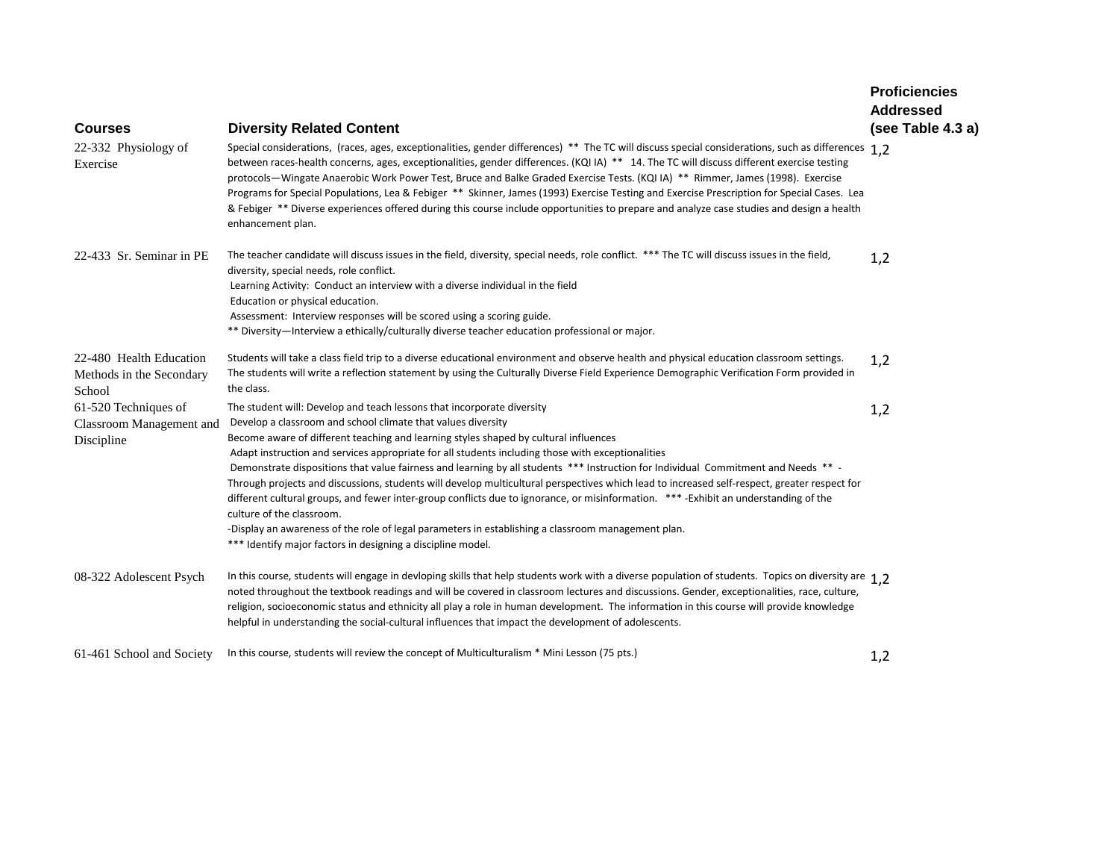| <b>Courses</b>                                                 | <b>Diversity Related Content</b>                                                                                                                                                                                                                                                                                                                                                                                                                                                                                                                                                                                                                                                                                                                                                                                                                                                                                                                                    | <b>Proficiencies</b><br><b>Addressed</b><br>(see Table 4.3 a) |
|----------------------------------------------------------------|---------------------------------------------------------------------------------------------------------------------------------------------------------------------------------------------------------------------------------------------------------------------------------------------------------------------------------------------------------------------------------------------------------------------------------------------------------------------------------------------------------------------------------------------------------------------------------------------------------------------------------------------------------------------------------------------------------------------------------------------------------------------------------------------------------------------------------------------------------------------------------------------------------------------------------------------------------------------|---------------------------------------------------------------|
| 22-332 Physiology of<br>Exercise                               | Special considerations, (races, ages, exceptionalities, gender differences) ** The TC will discuss special considerations, such as differences 1,2<br>between races-health concerns, ages, exceptionalities, gender differences. (KQI IA) ** 14. The TC will discuss different exercise testing<br>protocols-Wingate Anaerobic Work Power Test, Bruce and Balke Graded Exercise Tests. (KQI IA) ** Rimmer, James (1998). Exercise<br>Programs for Special Populations, Lea & Febiger ** Skinner, James (1993) Exercise Testing and Exercise Prescription for Special Cases. Lea<br>& Febiger ** Diverse experiences offered during this course include opportunities to prepare and analyze case studies and design a health<br>enhancement plan.                                                                                                                                                                                                                   |                                                               |
| 22-433 Sr. Seminar in PE                                       | The teacher candidate will discuss issues in the field, diversity, special needs, role conflict. *** The TC will discuss issues in the field,<br>diversity, special needs, role conflict.<br>Learning Activity: Conduct an interview with a diverse individual in the field<br>Education or physical education.<br>Assessment: Interview responses will be scored using a scoring guide.<br>** Diversity-Interview a ethically/culturally diverse teacher education professional or major.                                                                                                                                                                                                                                                                                                                                                                                                                                                                          | 1,2                                                           |
| 22-480 Health Education<br>Methods in the Secondary<br>School  | Students will take a class field trip to a diverse educational environment and observe health and physical education classroom settings.<br>The students will write a reflection statement by using the Culturally Diverse Field Experience Demographic Verification Form provided in<br>the class.                                                                                                                                                                                                                                                                                                                                                                                                                                                                                                                                                                                                                                                                 | 1,2                                                           |
| 61-520 Techniques of<br>Classroom Management and<br>Discipline | The student will: Develop and teach lessons that incorporate diversity<br>Develop a classroom and school climate that values diversity<br>Become aware of different teaching and learning styles shaped by cultural influences<br>Adapt instruction and services appropriate for all students including those with exceptionalities<br>Demonstrate dispositions that value fairness and learning by all students *** Instruction for Individual Commitment and Needs ** -<br>Through projects and discussions, students will develop multicultural perspectives which lead to increased self-respect, greater respect for<br>different cultural groups, and fewer inter-group conflicts due to ignorance, or misinformation. *** -Exhibit an understanding of the<br>culture of the classroom.<br>-Display an awareness of the role of legal parameters in establishing a classroom management plan.<br>*** Identify major factors in designing a discipline model. | 1,2                                                           |
| 08-322 Adolescent Psych                                        | In this course, students will engage in devloping skills that help students work with a diverse population of students. Topics on diversity are 1.2<br>noted throughout the textbook readings and will be covered in classroom lectures and discussions. Gender, exceptionalities, race, culture,<br>religion, socioeconomic status and ethnicity all play a role in human development. The information in this course will provide knowledge<br>helpful in understanding the social-cultural influences that impact the development of adolescents.                                                                                                                                                                                                                                                                                                                                                                                                                |                                                               |
| 61-461 School and Society                                      | In this course, students will review the concept of Multiculturalism * Mini Lesson (75 pts.)                                                                                                                                                                                                                                                                                                                                                                                                                                                                                                                                                                                                                                                                                                                                                                                                                                                                        | 1,2                                                           |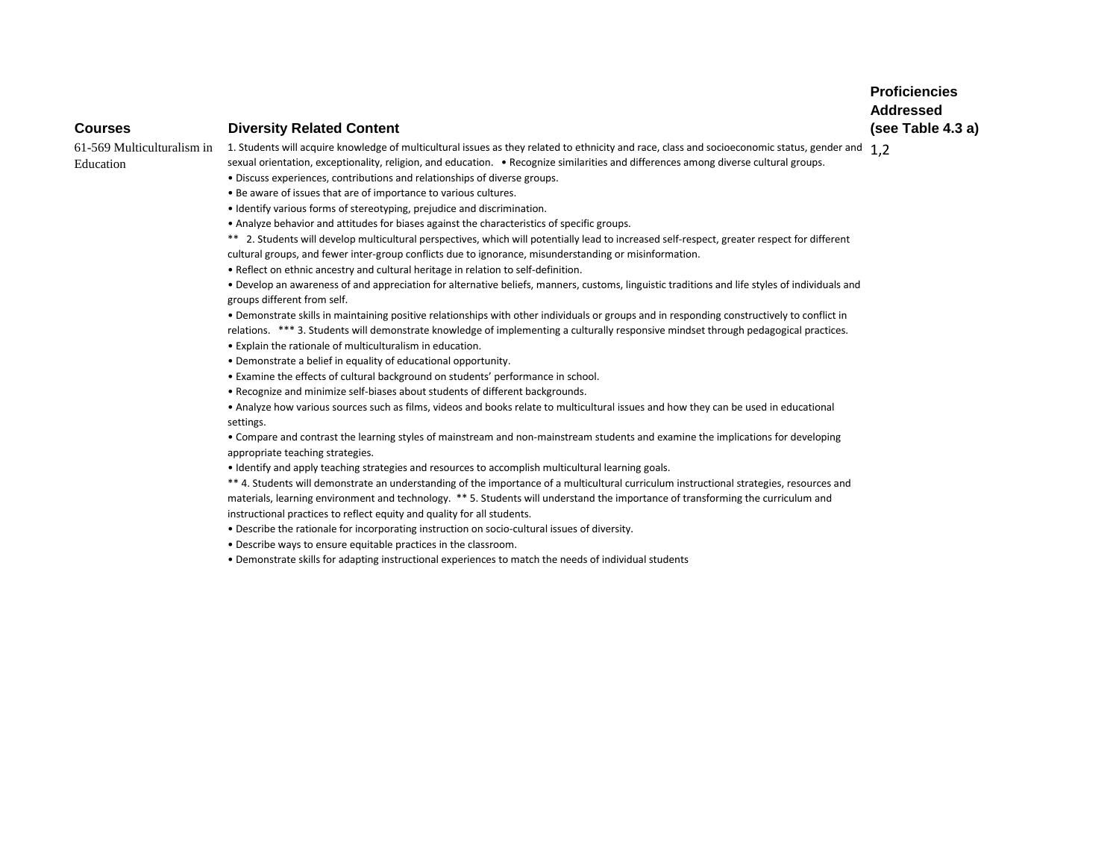### **Courses Diversity Related Content**

Education

 $61$ -569 Multiculturalism in  $\:$  1. Students will acquire knowledge of multicultural issues as they related to ethnicity and race, class and socioeconomic status, gender and  $\:1,2$ sexual orientation, exceptionality, religion, and education. • Recognize similarities and differences among diverse cultural groups.

• Discuss experiences, contributions and relationships of diverse groups.

- Be aware of issues that are of importance to various cultures.
- Identify various forms of stereotyping, prejudice and discrimination.
- Analyze behavior and attitudes for biases against the characteristics of specific groups.

\*\* 2. Students will develop multicultural perspectives, which will potentially lead to increased self-respect, greater respect for different cultural groups, and fewer inter-group conflicts due to ignorance, misunderstanding or misinformation.

• Reflect on ethnic ancestry and cultural heritage in relation to self-definition.

• Develop an awareness of and appreciation for alternative beliefs, manners, customs, linguistic traditions and life styles of individuals and groups different from self.

• Demonstrate skills in maintaining positive relationships with other individuals or groups and in responding constructively to conflict in relations. \*\*\* 3. Students will demonstrate knowledge of implementing a culturally responsive mindset through pedagogical practices.

• Explain the rationale of multiculturalism in education.

- Demonstrate a belief in equality of educational opportunity.
- Examine the effects of cultural background on students' performance in school.
- Recognize and minimize self-biases about students of different backgrounds.

• Analyze how various sources such as films, videos and books relate to multicultural issues and how they can be used in educational settings.

• Compare and contrast the learning styles of mainstream and non-mainstream students and examine the implications for developing appropriate teaching strategies.

• Identify and apply teaching strategies and resources to accomplish multicultural learning goals.

\*\* 4. Students will demonstrate an understanding of the importance of a multicultural curriculum instructional strategies, resources and materials, learning environment and technology. \*\* 5. Students will understand the importance of transforming the curriculum and instructional practices to reflect equity and quality for all students.

• Describe the rationale for incorporating instruction on socio-cultural issues of diversity.

• Describe ways to ensure equitable practices in the classroom.

• Demonstrate skills for adapting instructional experiences to match the needs of individual students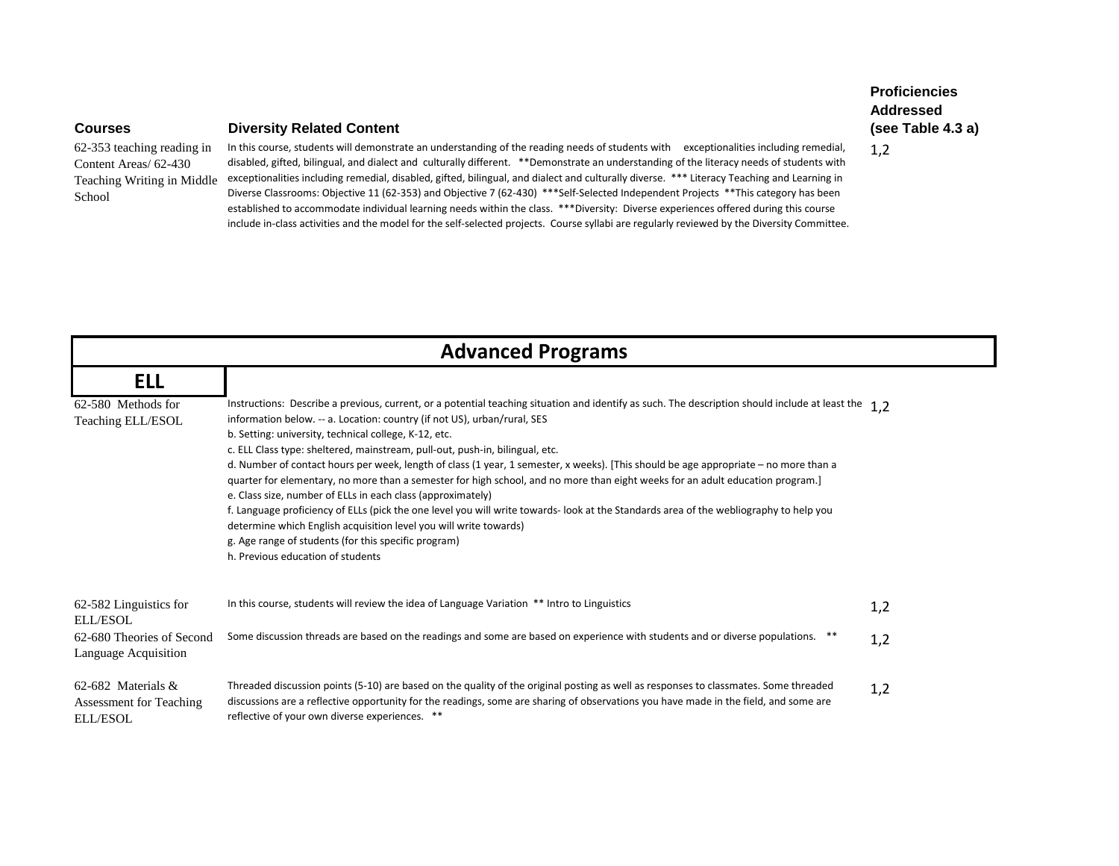62-353 teaching reading in Content Areas/ 62-430 School

## **Courses Diversity Related Content**

Teaching Writing in Middle exceptionalities including remedial, disabled, gifted, bilingual, and dialect and culturally diverse. \*\*\* Literacy Teaching and Learning in In this course, students will demonstrate an understanding of the reading needs of students with exceptionalities including remedial, disabled, gifted, bilingual, and dialect and culturally different. \*\*Demonstrate an understanding of the literacy needs of students with Diverse Classrooms: Objective 11 (62-353) and Objective 7 (62-430) \*\*\*Self-Selected Independent Projects \*\*This category has been established to accommodate individual learning needs within the class. \*\*\*Diversity: Diverse experiences offered during this course include in-class activities and the model for the self-selected projects. Course syllabi are regularly reviewed by the Diversity Committee.

| <b>Advanced Programs</b>                                            |                                                                                                                                                                                                                                                                                                                                                                                                                                                                                                                                                                                                                                                                                                                                                                                                                                                                                                                                                                                                                               |     |
|---------------------------------------------------------------------|-------------------------------------------------------------------------------------------------------------------------------------------------------------------------------------------------------------------------------------------------------------------------------------------------------------------------------------------------------------------------------------------------------------------------------------------------------------------------------------------------------------------------------------------------------------------------------------------------------------------------------------------------------------------------------------------------------------------------------------------------------------------------------------------------------------------------------------------------------------------------------------------------------------------------------------------------------------------------------------------------------------------------------|-----|
| <b>ELL</b>                                                          |                                                                                                                                                                                                                                                                                                                                                                                                                                                                                                                                                                                                                                                                                                                                                                                                                                                                                                                                                                                                                               |     |
| 62-580 Methods for<br>Teaching ELL/ESOL                             | Instructions: Describe a previous, current, or a potential teaching situation and identify as such. The description should include at least the 1.2<br>information below. -- a. Location: country (if not US), urban/rural, SES<br>b. Setting: university, technical college, K-12, etc.<br>c. ELL Class type: sheltered, mainstream, pull-out, push-in, bilingual, etc.<br>d. Number of contact hours per week, length of class (1 year, 1 semester, x weeks). [This should be age appropriate – no more than a<br>quarter for elementary, no more than a semester for high school, and no more than eight weeks for an adult education program.]<br>e. Class size, number of ELLs in each class (approximately)<br>f. Language proficiency of ELLs (pick the one level you will write towards- look at the Standards area of the webliography to help you<br>determine which English acquisition level you will write towards)<br>g. Age range of students (for this specific program)<br>h. Previous education of students |     |
| 62-582 Linguistics for<br>ELL/ESOL                                  | In this course, students will review the idea of Language Variation ** Intro to Linguistics                                                                                                                                                                                                                                                                                                                                                                                                                                                                                                                                                                                                                                                                                                                                                                                                                                                                                                                                   | 1,2 |
| 62-680 Theories of Second<br>Language Acquisition                   | Some discussion threads are based on the readings and some are based on experience with students and or diverse populations.                                                                                                                                                                                                                                                                                                                                                                                                                                                                                                                                                                                                                                                                                                                                                                                                                                                                                                  | 1,2 |
| 62-682 Materials $\&$<br>Assessment for Teaching<br><b>ELL/ESOL</b> | Threaded discussion points (5-10) are based on the quality of the original posting as well as responses to classmates. Some threaded<br>discussions are a reflective opportunity for the readings, some are sharing of observations you have made in the field, and some are<br>reflective of your own diverse experiences. **                                                                                                                                                                                                                                                                                                                                                                                                                                                                                                                                                                                                                                                                                                | 1,2 |

1,2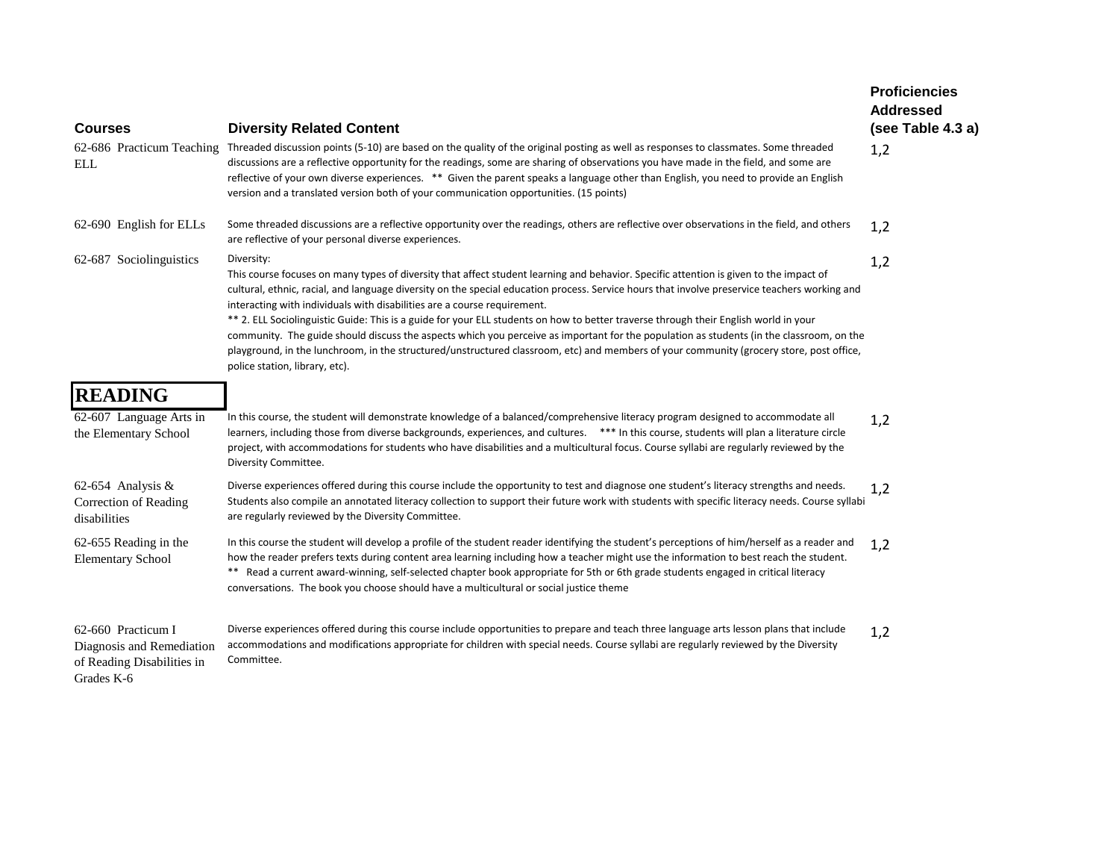| <b>Courses</b>                                                                              | <b>Diversity Related Content</b>                                                                                                                                                                                                                                                                                                                                                                                                                                                                                                                                                                                                                                                                                                                                                                                 | <b>Proficiencies</b><br><b>Addressed</b><br>(see Table 4.3 a) |
|---------------------------------------------------------------------------------------------|------------------------------------------------------------------------------------------------------------------------------------------------------------------------------------------------------------------------------------------------------------------------------------------------------------------------------------------------------------------------------------------------------------------------------------------------------------------------------------------------------------------------------------------------------------------------------------------------------------------------------------------------------------------------------------------------------------------------------------------------------------------------------------------------------------------|---------------------------------------------------------------|
| 62-686 Practicum Teaching<br>ELL                                                            | Threaded discussion points (5-10) are based on the quality of the original posting as well as responses to classmates. Some threaded<br>discussions are a reflective opportunity for the readings, some are sharing of observations you have made in the field, and some are<br>reflective of your own diverse experiences. ** Given the parent speaks a language other than English, you need to provide an English<br>version and a translated version both of your communication opportunities. (15 points)                                                                                                                                                                                                                                                                                                   | 1,2                                                           |
| 62-690 English for ELLs                                                                     | Some threaded discussions are a reflective opportunity over the readings, others are reflective over observations in the field, and others<br>are reflective of your personal diverse experiences.                                                                                                                                                                                                                                                                                                                                                                                                                                                                                                                                                                                                               | 1,2                                                           |
| 62-687 Sociolinguistics                                                                     | Diversity:<br>This course focuses on many types of diversity that affect student learning and behavior. Specific attention is given to the impact of<br>cultural, ethnic, racial, and language diversity on the special education process. Service hours that involve preservice teachers working and<br>interacting with individuals with disabilities are a course requirement.<br>** 2. ELL Sociolinguistic Guide: This is a guide for your ELL students on how to better traverse through their English world in your<br>community. The guide should discuss the aspects which you perceive as important for the population as students (in the classroom, on the<br>playground, in the lunchroom, in the structured/unstructured classroom, etc) and members of your community (grocery store, post office, | 1,2                                                           |
|                                                                                             | police station, library, etc).                                                                                                                                                                                                                                                                                                                                                                                                                                                                                                                                                                                                                                                                                                                                                                                   |                                                               |
| <b>READING</b><br>62-607 Language Arts in<br>the Elementary School                          | In this course, the student will demonstrate knowledge of a balanced/comprehensive literacy program designed to accommodate all<br>learners, including those from diverse backgrounds, experiences, and cultures. *** In this course, students will plan a literature circle<br>project, with accommodations for students who have disabilities and a multicultural focus. Course syllabi are regularly reviewed by the<br>Diversity Committee.                                                                                                                                                                                                                                                                                                                                                                  | 1,2                                                           |
| 62-654 Analysis &<br>Correction of Reading<br>disabilities                                  | Diverse experiences offered during this course include the opportunity to test and diagnose one student's literacy strengths and needs.<br>Students also compile an annotated literacy collection to support their future work with students with specific literacy needs. Course syllabi<br>are regularly reviewed by the Diversity Committee.                                                                                                                                                                                                                                                                                                                                                                                                                                                                  | 1,2                                                           |
| 62-655 Reading in the<br><b>Elementary School</b>                                           | In this course the student will develop a profile of the student reader identifying the student's perceptions of him/herself as a reader and<br>how the reader prefers texts during content area learning including how a teacher might use the information to best reach the student.<br>** Read a current award-winning, self-selected chapter book appropriate for 5th or 6th grade students engaged in critical literacy<br>conversations. The book you choose should have a multicultural or social justice theme                                                                                                                                                                                                                                                                                           | 1,2                                                           |
| 62-660 Practicum I<br>Diagnosis and Remediation<br>of Reading Disabilities in<br>Grades K-6 | Diverse experiences offered during this course include opportunities to prepare and teach three language arts lesson plans that include<br>accommodations and modifications appropriate for children with special needs. Course syllabi are regularly reviewed by the Diversity<br>Committee.                                                                                                                                                                                                                                                                                                                                                                                                                                                                                                                    | 1,2                                                           |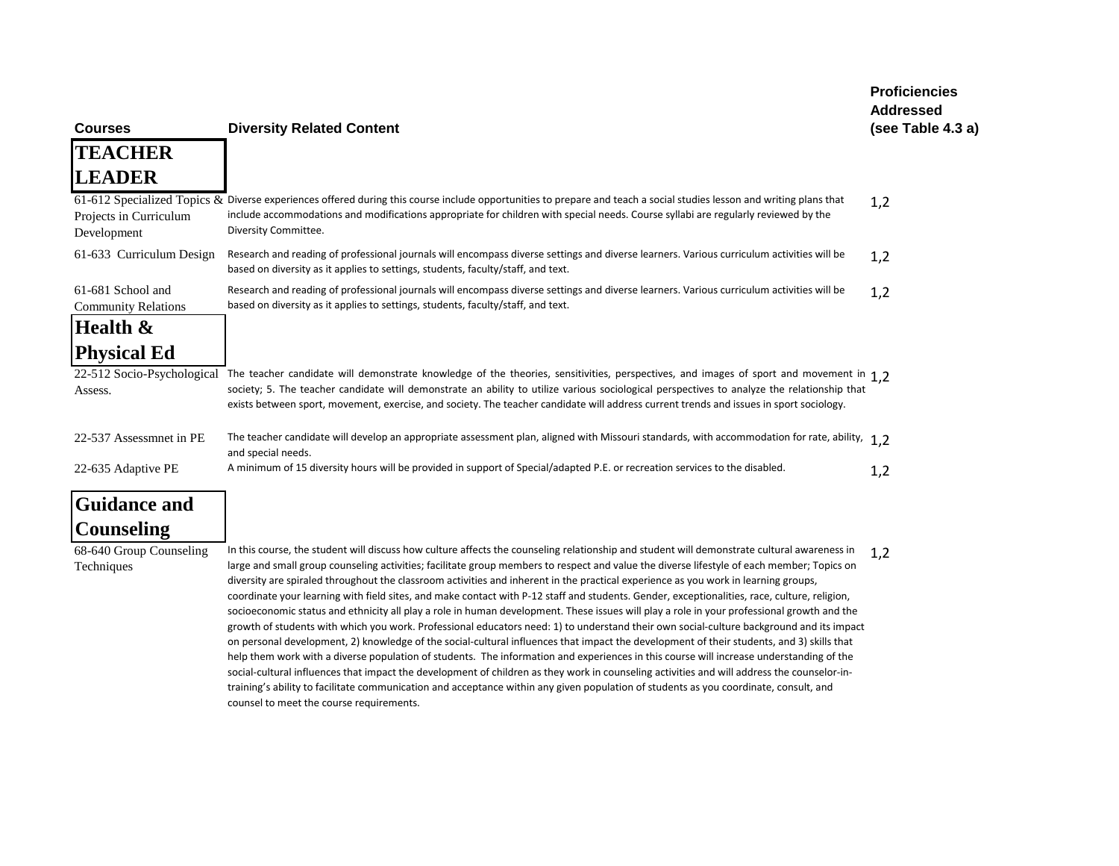| <b>Courses</b>                                  | <b>Diversity Related Content</b>                                                                                                                                                                                                                                                                                                                                                                                                                                                                                                                                                                                                                                                                                                                                                                                                                                                                                                                                                                                                                                                                                                                                                                                                                                                                                                                                                                                                                                                                       | <b>Addressed</b><br>(see Table 4.3 a) |
|-------------------------------------------------|--------------------------------------------------------------------------------------------------------------------------------------------------------------------------------------------------------------------------------------------------------------------------------------------------------------------------------------------------------------------------------------------------------------------------------------------------------------------------------------------------------------------------------------------------------------------------------------------------------------------------------------------------------------------------------------------------------------------------------------------------------------------------------------------------------------------------------------------------------------------------------------------------------------------------------------------------------------------------------------------------------------------------------------------------------------------------------------------------------------------------------------------------------------------------------------------------------------------------------------------------------------------------------------------------------------------------------------------------------------------------------------------------------------------------------------------------------------------------------------------------------|---------------------------------------|
| <b>TEACHER</b>                                  |                                                                                                                                                                                                                                                                                                                                                                                                                                                                                                                                                                                                                                                                                                                                                                                                                                                                                                                                                                                                                                                                                                                                                                                                                                                                                                                                                                                                                                                                                                        |                                       |
| <b>LEADER</b>                                   |                                                                                                                                                                                                                                                                                                                                                                                                                                                                                                                                                                                                                                                                                                                                                                                                                                                                                                                                                                                                                                                                                                                                                                                                                                                                                                                                                                                                                                                                                                        |                                       |
| Projects in Curriculum<br>Development           | 61-612 Specialized Topics & Diverse experiences offered during this course include opportunities to prepare and teach a social studies lesson and writing plans that<br>include accommodations and modifications appropriate for children with special needs. Course syllabi are regularly reviewed by the<br>Diversity Committee.                                                                                                                                                                                                                                                                                                                                                                                                                                                                                                                                                                                                                                                                                                                                                                                                                                                                                                                                                                                                                                                                                                                                                                     | 1,2                                   |
| 61-633 Curriculum Design                        | Research and reading of professional journals will encompass diverse settings and diverse learners. Various curriculum activities will be<br>based on diversity as it applies to settings, students, faculty/staff, and text.                                                                                                                                                                                                                                                                                                                                                                                                                                                                                                                                                                                                                                                                                                                                                                                                                                                                                                                                                                                                                                                                                                                                                                                                                                                                          | 1,2                                   |
| 61-681 School and<br><b>Community Relations</b> | Research and reading of professional journals will encompass diverse settings and diverse learners. Various curriculum activities will be<br>based on diversity as it applies to settings, students, faculty/staff, and text.                                                                                                                                                                                                                                                                                                                                                                                                                                                                                                                                                                                                                                                                                                                                                                                                                                                                                                                                                                                                                                                                                                                                                                                                                                                                          | 1,2                                   |
| Health &                                        |                                                                                                                                                                                                                                                                                                                                                                                                                                                                                                                                                                                                                                                                                                                                                                                                                                                                                                                                                                                                                                                                                                                                                                                                                                                                                                                                                                                                                                                                                                        |                                       |
| <b>Physical Ed</b>                              |                                                                                                                                                                                                                                                                                                                                                                                                                                                                                                                                                                                                                                                                                                                                                                                                                                                                                                                                                                                                                                                                                                                                                                                                                                                                                                                                                                                                                                                                                                        |                                       |
| 22-512 Socio-Psychological<br>Assess.           | The teacher candidate will demonstrate knowledge of the theories, sensitivities, perspectives, and images of sport and movement in 1.2<br>society; 5. The teacher candidate will demonstrate an ability to utilize various sociological perspectives to analyze the relationship that<br>exists between sport, movement, exercise, and society. The teacher candidate will address current trends and issues in sport sociology.                                                                                                                                                                                                                                                                                                                                                                                                                                                                                                                                                                                                                                                                                                                                                                                                                                                                                                                                                                                                                                                                       |                                       |
| 22-537 Assessmnet in PE                         | The teacher candidate will develop an appropriate assessment plan, aligned with Missouri standards, with accommodation for rate, ability, 1,2<br>and special needs.                                                                                                                                                                                                                                                                                                                                                                                                                                                                                                                                                                                                                                                                                                                                                                                                                                                                                                                                                                                                                                                                                                                                                                                                                                                                                                                                    |                                       |
| 22-635 Adaptive PE                              | A minimum of 15 diversity hours will be provided in support of Special/adapted P.E. or recreation services to the disabled.                                                                                                                                                                                                                                                                                                                                                                                                                                                                                                                                                                                                                                                                                                                                                                                                                                                                                                                                                                                                                                                                                                                                                                                                                                                                                                                                                                            | 1,2                                   |
| <b>Guidance and</b>                             |                                                                                                                                                                                                                                                                                                                                                                                                                                                                                                                                                                                                                                                                                                                                                                                                                                                                                                                                                                                                                                                                                                                                                                                                                                                                                                                                                                                                                                                                                                        |                                       |
| <b>Counseling</b>                               |                                                                                                                                                                                                                                                                                                                                                                                                                                                                                                                                                                                                                                                                                                                                                                                                                                                                                                                                                                                                                                                                                                                                                                                                                                                                                                                                                                                                                                                                                                        |                                       |
| 68-640 Group Counseling<br>Techniques           | In this course, the student will discuss how culture affects the counseling relationship and student will demonstrate cultural awareness in<br>large and small group counseling activities; facilitate group members to respect and value the diverse lifestyle of each member; Topics on<br>diversity are spiraled throughout the classroom activities and inherent in the practical experience as you work in learning groups,<br>coordinate your learning with field sites, and make contact with P-12 staff and students. Gender, exceptionalities, race, culture, religion,<br>socioeconomic status and ethnicity all play a role in human development. These issues will play a role in your professional growth and the<br>growth of students with which you work. Professional educators need: 1) to understand their own social-culture background and its impact<br>on personal development, 2) knowledge of the social-cultural influences that impact the development of their students, and 3) skills that<br>help them work with a diverse population of students. The information and experiences in this course will increase understanding of the<br>social-cultural influences that impact the development of children as they work in counseling activities and will address the counselor-in-<br>training's ability to facilitate communication and acceptance within any given population of students as you coordinate, consult, and<br>counsel to meet the course requirements. | 1,2                                   |

**Proficiencies**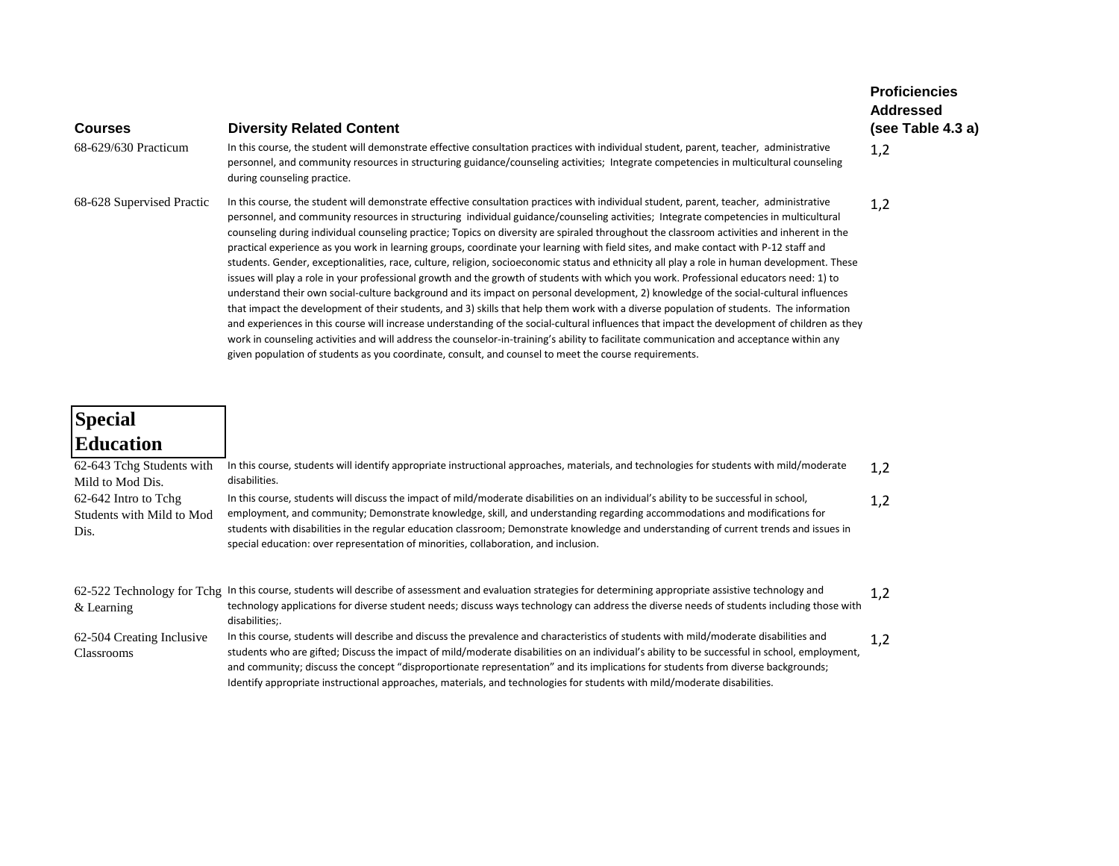| <b>Courses</b>                                            | <b>Diversity Related Content</b>                                                                                                                                                                                                                                                                                                                                                                                                                                                                                                                                                                                                                                                                                                                                                                                                                                                                                                                                                                                                                                                                                                                                                                                                                                                                                                                                                                                                                                                                                                                       | <b>Proficiencies</b><br><b>Addressed</b><br>(see Table 4.3 a) |
|-----------------------------------------------------------|--------------------------------------------------------------------------------------------------------------------------------------------------------------------------------------------------------------------------------------------------------------------------------------------------------------------------------------------------------------------------------------------------------------------------------------------------------------------------------------------------------------------------------------------------------------------------------------------------------------------------------------------------------------------------------------------------------------------------------------------------------------------------------------------------------------------------------------------------------------------------------------------------------------------------------------------------------------------------------------------------------------------------------------------------------------------------------------------------------------------------------------------------------------------------------------------------------------------------------------------------------------------------------------------------------------------------------------------------------------------------------------------------------------------------------------------------------------------------------------------------------------------------------------------------------|---------------------------------------------------------------|
| 68-629/630 Practicum                                      | In this course, the student will demonstrate effective consultation practices with individual student, parent, teacher, administrative<br>personnel, and community resources in structuring guidance/counseling activities; Integrate competencies in multicultural counseling<br>during counseling practice.                                                                                                                                                                                                                                                                                                                                                                                                                                                                                                                                                                                                                                                                                                                                                                                                                                                                                                                                                                                                                                                                                                                                                                                                                                          | 1,2                                                           |
| 68-628 Supervised Practic                                 | In this course, the student will demonstrate effective consultation practices with individual student, parent, teacher, administrative<br>personnel, and community resources in structuring individual guidance/counseling activities; Integrate competencies in multicultural<br>counseling during individual counseling practice; Topics on diversity are spiraled throughout the classroom activities and inherent in the<br>practical experience as you work in learning groups, coordinate your learning with field sites, and make contact with P-12 staff and<br>students. Gender, exceptionalities, race, culture, religion, socioeconomic status and ethnicity all play a role in human development. These<br>issues will play a role in your professional growth and the growth of students with which you work. Professional educators need: 1) to<br>understand their own social-culture background and its impact on personal development, 2) knowledge of the social-cultural influences<br>that impact the development of their students, and 3) skills that help them work with a diverse population of students. The information<br>and experiences in this course will increase understanding of the social-cultural influences that impact the development of children as they<br>work in counseling activities and will address the counselor-in-training's ability to facilitate communication and acceptance within any<br>given population of students as you coordinate, consult, and counsel to meet the course requirements. | 1,2                                                           |
| <b>Special</b>                                            |                                                                                                                                                                                                                                                                                                                                                                                                                                                                                                                                                                                                                                                                                                                                                                                                                                                                                                                                                                                                                                                                                                                                                                                                                                                                                                                                                                                                                                                                                                                                                        |                                                               |
| <b>Education</b>                                          |                                                                                                                                                                                                                                                                                                                                                                                                                                                                                                                                                                                                                                                                                                                                                                                                                                                                                                                                                                                                                                                                                                                                                                                                                                                                                                                                                                                                                                                                                                                                                        |                                                               |
| 62-643 Tchg Students with<br>Mild to Mod Dis.             | In this course, students will identify appropriate instructional approaches, materials, and technologies for students with mild/moderate<br>disabilities.                                                                                                                                                                                                                                                                                                                                                                                                                                                                                                                                                                                                                                                                                                                                                                                                                                                                                                                                                                                                                                                                                                                                                                                                                                                                                                                                                                                              | 1,2                                                           |
| 62-642 Intro to Tchg<br>Students with Mild to Mod<br>Dis. | In this course, students will discuss the impact of mild/moderate disabilities on an individual's ability to be successful in school,<br>employment, and community; Demonstrate knowledge, skill, and understanding regarding accommodations and modifications for<br>students with disabilities in the regular education classroom; Demonstrate knowledge and understanding of current trends and issues in<br>special education: over representation of minorities, collaboration, and inclusion.                                                                                                                                                                                                                                                                                                                                                                                                                                                                                                                                                                                                                                                                                                                                                                                                                                                                                                                                                                                                                                                    | 1,2                                                           |
| & Learning                                                | 62-522 Technology for Tchg In this course, students will describe of assessment and evaluation strategies for determining appropriate assistive technology and<br>technology applications for diverse student needs; discuss ways technology can address the diverse needs of students including those with<br>disabilities;.                                                                                                                                                                                                                                                                                                                                                                                                                                                                                                                                                                                                                                                                                                                                                                                                                                                                                                                                                                                                                                                                                                                                                                                                                          | 1,2                                                           |
| 62-504 Creating Inclusive                                 | In this course, students will describe and discuss the prevalence and characteristics of students with mild/moderate disabilities and<br>eta dalam ang alftaddi Disagga tha inggapun af mild beradama aliada lilak ing ang malinikal ada kilita ta kanggapun linggapun ing ada                                                                                                                                                                                                                                                                                                                                                                                                                                                                                                                                                                                                                                                                                                                                                                                                                                                                                                                                                                                                                                                                                                                                                                                                                                                                         | 1,2                                                           |

Classrooms students who are gifted; Discuss the impact of mild/moderate disabilities on an individual's ability to be successful in school, employment, and community; discuss the concept "disproportionate representation" and its implications for students from diverse backgrounds; Identify appropriate instructional approaches, materials, and technologies for students with mild/moderate disabilities.